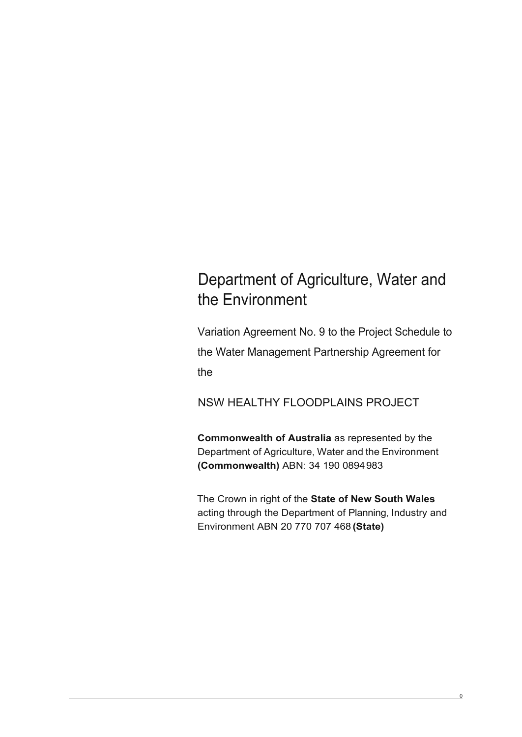## Department of Agriculture, Water and the Environment

Variation Agreement No. 9 to the Project Schedule to the Water Management Partnership Agreement for the

NSW HEALTHY FLOODPLAINS PROJECT

**Commonwealth of Australia** as represented by the Department of Agriculture, Water and the Environment **(Commonwealth)** ABN: 34 190 0894983

The Crown in right of the **State of New South Wales**  acting through the Department of Planning, Industry and Environment ABN 20 770 707 468 **(State)**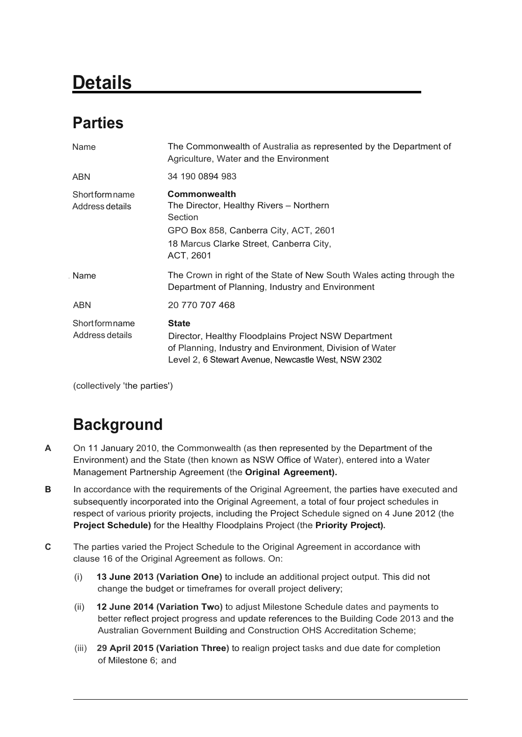# **Details**

## **Parties**

| The Commonwealth of Australia as represented by the Department of<br>Agriculture, Water and the Environment                                                                             |
|-----------------------------------------------------------------------------------------------------------------------------------------------------------------------------------------|
| 34 190 0894 983                                                                                                                                                                         |
| <b>Commonwealth</b><br>The Director, Healthy Rivers - Northern<br>Section<br>GPO Box 858, Canberra City, ACT, 2601<br>18 Marcus Clarke Street, Canberra City,<br>ACT, 2601              |
| The Crown in right of the State of New South Wales acting through the<br>Department of Planning, Industry and Environment                                                               |
| 20 770 707 468                                                                                                                                                                          |
| <b>State</b><br>Director, Healthy Floodplains Project NSW Department<br>of Planning, Industry and Environment, Division of Water<br>Level 2, 6 Stewart Avenue, Newcastle West, NSW 2302 |
|                                                                                                                                                                                         |

(collectively 'the parties')

## **Background**

- **A** On 11 January 2010, the Commonwealth (as then represented by the Department of the Environment) and the State (then known as NSW Office of Water), entered into a Water Management Partnership Agreement (the **Original Agreement).**
- **B** In accordance with the requirements of the Original Agreement, the parties have executed and subsequently incorporated into the Original Agreement, a total of four project schedules in respect of various priority projects, including the Project Schedule signed on 4 June 2012 (the **Project Schedule)** for the Healthy Floodplains Project (the **Priority Project).**
- **C** The parties varied the Project Schedule to the Original Agreement in accordance with clause 16 of the Original Agreement as follows. On:
	- (i) **13 June 2013 (Variation One)** to include an additional project output. This did not change the budget or timeframes for overall project delivery;
	- (ii) **12 June 2014 (Variation Two)** to adjust Milestone Schedule dates and payments to better reflect project progress and update references to the Building Code 2013 and the Australian Government Building and Construction OHS Accreditation Scheme;
	- (iii) **29 April 2015 (Variation Three)** to realign project tasks and due date for completion of Milestone 6; and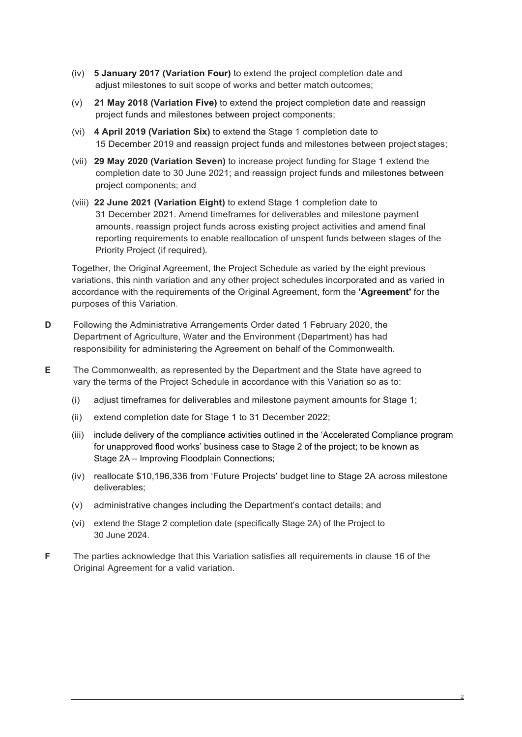- (iv) **5 January 2017 (Variation Four)** to extend the project completion date and adjust milestones to suit scope of works and better match outcomes;
- (v) **21 May 2018 (Variation Five)** to extend the project completion date and reassign project funds and milestones between project components;
- (vi) **4 April 2019 (Variation Six)** to extend the Stage 1 completion date to 15 December 2019 and reassign project funds and milestones between project stages;
- (vii) **29 May 2020 (Variation Seven)** to increase project funding for Stage 1 extend the completion date to 30 June 2021; and reassign project funds and milestones between project components; and
- (viii) **22 June 2021 (Variation Eight)** to extend Stage 1 completion date to 31 December 2021. Amend timeframes for deliverables and milestone payment amounts, reassign project funds across existing project activities and amend final reporting requirements to enable reallocation of unspent funds between stages of the Priority Project (if required).

Together, the Original Agreement, the Project Schedule as varied by the eight previous variations, this ninth variation and any other project schedules incorporated and as varied in accordance with the requirements of the Original Agreement, form the **'Agreement'** for the purposes of this Variation.

- **D** Following the Administrative Arrangements Order dated 1 February 2020, the Department of Agriculture, Water and the Environment (Department) has had responsibility for administering the Agreement on behalf of the Commonwealth.
- **E** The Commonwealth, as represented by the Department and the State have agreed to vary the terms of the Project Schedule in accordance with this Variation so as to:
	- (i) adjust timeframes for deliverables and milestone payment amounts for Stage 1;
	- (ii) extend completion date for Stage 1 to 31 December 2022;
	- (iii) include delivery of the compliance activities outlined in the 'Accelerated Compliance program for unapproved flood works' business case to Stage 2 of the project; to be known as Stage 2A – Improving Floodplain Connections;
	- (iv) reallocate \$10,196,336 from 'Future Projects' budget line to Stage 2A across milestone deliverables;
	- (v) administrative changes including the Department's contact details; and
	- (vi) extend the Stage 2 completion date (specifically Stage 2A) of the Project to 30 June 2024.
- **F** The parties acknowledge that this Variation satisfies all requirements in clause 16 of the Original Agreement for a valid variation.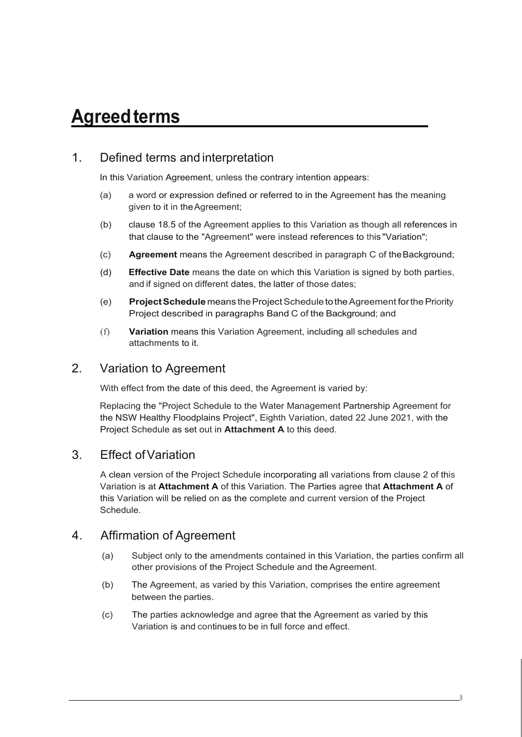# **Agreedterms**

## 1. Defined terms and interpretation

In this Variation Agreement, unless the contrary intention appears:

- (a) a word or expression defined or referred to in the Agreement has the meaning given to it in theAgreement;
- (b) clause 18.5 of the Agreement applies to this Variation as though all references in that clause to the "Agreement" were instead references to this "Variation";
- (c) **Agreement** means the Agreement described in paragraph C of theBackground;
- (d) **Effective Date** means the date on which this Variation is signed by both parties, and if signed on different dates, the latter of those dates;
- (e) **ProjectSchedule** means theProjectScheduletotheAgreement forthePriority Project described in paragraphs Band C of the Background; and
- (f) **Variation** means this Variation Agreement, including all schedules and attachments to it.

## 2. Variation to Agreement

With effect from the date of this deed, the Agreement is varied by:

Replacing the "Project Schedule to the Water Management Partnership Agreement for the NSW Healthy Floodplains Project", Eighth Variation, dated 22 June 2021, with the Project Schedule as set out in **Attachment A** to this deed.

## 3. Effect ofVariation

A clean version of the Project Schedule incorporating all variations from clause 2 of this Variation is at **Attachment A** of this Variation. The Parties agree that **Attachment A** of this Variation will be relied on as the complete and current version of the Project **Schedule** 

## 4. Affirmation of Agreement

- (a) Subject only to the amendments contained in this Variation, the parties confirm all other provisions of the Project Schedule and the Agreement.
- (b) The Agreement, as varied by this Variation, comprises the entire agreement between the parties.
- (c) The parties acknowledge and agree that the Agreement as varied by this Variation is and continues to be in full force and effect.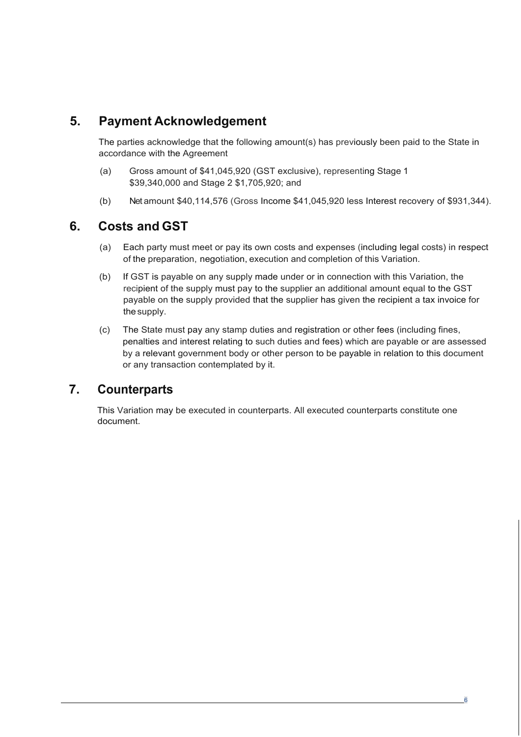## **5. Payment Acknowledgement**

The parties acknowledge that the following amount(s) has previously been paid to the State in accordance with the Agreement

- (a) Gross amount of \$41,045,920 (GST exclusive), representing Stage 1 \$39,340,000 and Stage 2 \$1,705,920; and
- (b) Net amount \$40,114,576 (Gross Income \$41,045,920 less Interest recovery of \$931,344).

## **6. Costs and GST**

- (a) Each party must meet or pay its own costs and expenses (including legal costs) in respect of the preparation, negotiation, execution and completion of this Variation.
- (b) If GST is payable on any supply made under or in connection with this Variation, the recipient of the supply must pay to the supplier an additional amount equal to the GST payable on the supply provided that the supplier has given the recipient a tax invoice for the supply.
- (c) The State must pay any stamp duties and registration or other fees (including fines, penalties and interest relating to such duties and fees) which are payable or are assessed by a relevant government body or other person to be payable in relation to this document or any transaction contemplated by it.

## **7. Counterparts**

This Variation may be executed in counterparts. All executed counterparts constitute one document.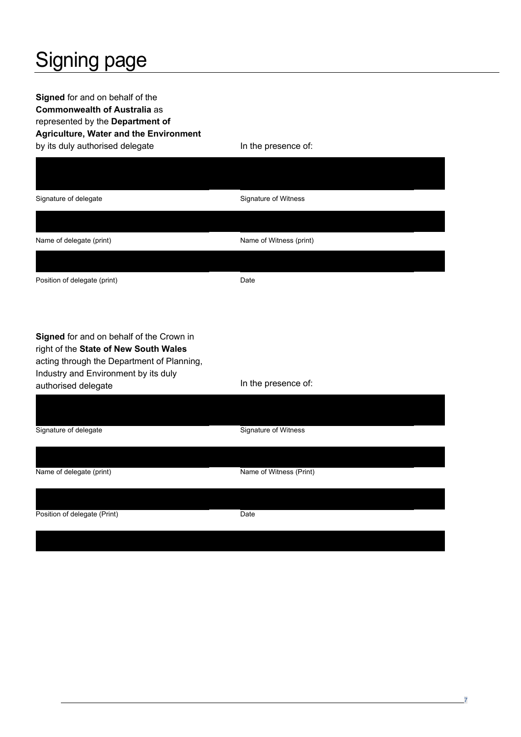# Signing page

**Signed** for and on behalf of the **Commonwealth of Australia** as represented by the **Department of Agriculture, Water and the Environment** by its duly authorised delegate In the presence of:

| Signature of delegate                                                                                                                                                                          | Signature of Witness    |
|------------------------------------------------------------------------------------------------------------------------------------------------------------------------------------------------|-------------------------|
|                                                                                                                                                                                                |                         |
| Name of delegate (print)                                                                                                                                                                       | Name of Witness (print) |
| Position of delegate (print)                                                                                                                                                                   | Date                    |
| Signed for and on behalf of the Crown in<br>right of the State of New South Wales<br>acting through the Department of Planning,<br>Industry and Environment by its duly<br>authorised delegate | In the presence of:     |
| Signature of delegate                                                                                                                                                                          | Signature of Witness    |
| Name of delegate (print)                                                                                                                                                                       | Name of Witness (Print) |
| Position of delegate (Print)                                                                                                                                                                   | Date                    |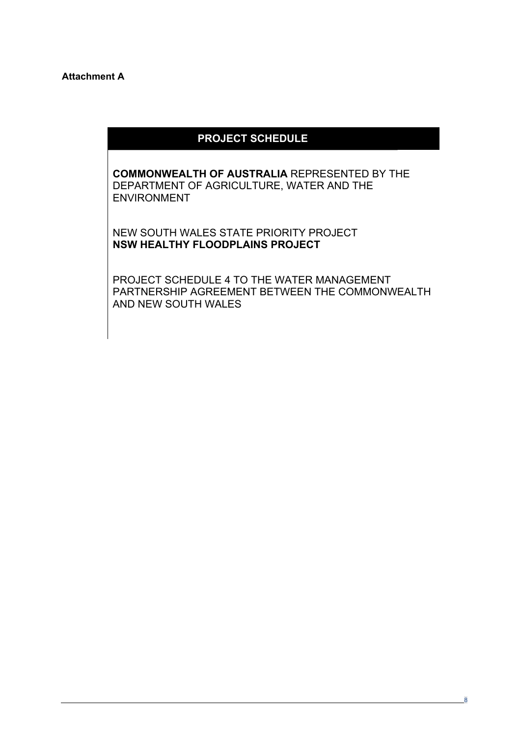#### **Attachment A**

## **PROJECT SCHEDULE**

**COMMONWEALTH OF AUSTRALIA** REPRESENTED BY THE DEPARTMENT OF AGRICULTURE, WATER AND THE ENVIRONMENT

NEW SOUTH WALES STATE PRIORITY PROJECT **NSW HEALTHY FLOODPLAINS PROJECT**

PROJECT SCHEDULE 4 TO THE WATER MANAGEMENT PARTNERSHIP AGREEMENT BETWEEN THE COMMONWEALTH AND NEW SOUTH WALES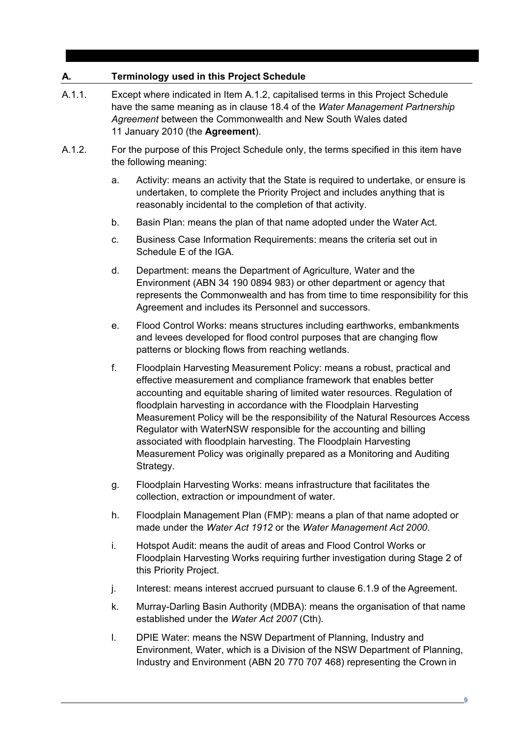## **A. Terminology used in this Project Schedule**

- A.1.1. Except where indicated in Item A.1.2, capitalised terms in this Project Schedule have the same meaning as in clause 18.4 of the *Water Management Partnership Agreement* between the Commonwealth and New South Wales dated 11 January 2010 (the **Agreement**).
- A.1.2. For the purpose of this Project Schedule only, the terms specified in this item have the following meaning:
	- a. Activity: means an activity that the State is required to undertake, or ensure is undertaken, to complete the Priority Project and includes anything that is reasonably incidental to the completion of that activity.
	- b. Basin Plan: means the plan of that name adopted under the Water Act.
	- c. Business Case Information Requirements: means the criteria set out in Schedule E of the IGA.
	- d. Department: means the Department of Agriculture, Water and the Environment (ABN 34 190 0894 983) or other department or agency that represents the Commonwealth and has from time to time responsibility for this Agreement and includes its Personnel and successors.
	- e. Flood Control Works: means structures including earthworks, embankments and levees developed for flood control purposes that are changing flow patterns or blocking flows from reaching wetlands.
	- f. Floodplain Harvesting Measurement Policy: means a robust, practical and effective measurement and compliance framework that enables better accounting and equitable sharing of limited water resources. Regulation of floodplain harvesting in accordance with the Floodplain Harvesting Measurement Policy will be the responsibility of the Natural Resources Access Regulator with WaterNSW responsible for the accounting and billing associated with floodplain harvesting. The Floodplain Harvesting Measurement Policy was originally prepared as a Monitoring and Auditing Strategy.
	- g. Floodplain Harvesting Works: means infrastructure that facilitates the collection, extraction or impoundment of water.
	- h. Floodplain Management Plan (FMP): means a plan of that name adopted or made under the *Water Act 1912* or the *Water Management Act 2000*.
	- i. Hotspot Audit: means the audit of areas and Flood Control Works or Floodplain Harvesting Works requiring further investigation during Stage 2 of this Priority Project.
	- j. Interest: means interest accrued pursuant to clause 6.1.9 of the Agreement.
	- k. Murray-Darling Basin Authority (MDBA): means the organisation of that name established under the *Water Act 2007* (Cth).
	- l. DPIE Water: means the NSW Department of Planning, Industry and Environment, Water, which is a Division of the NSW Department of Planning, Industry and Environment (ABN 20 770 707 468) representing the Crown in

9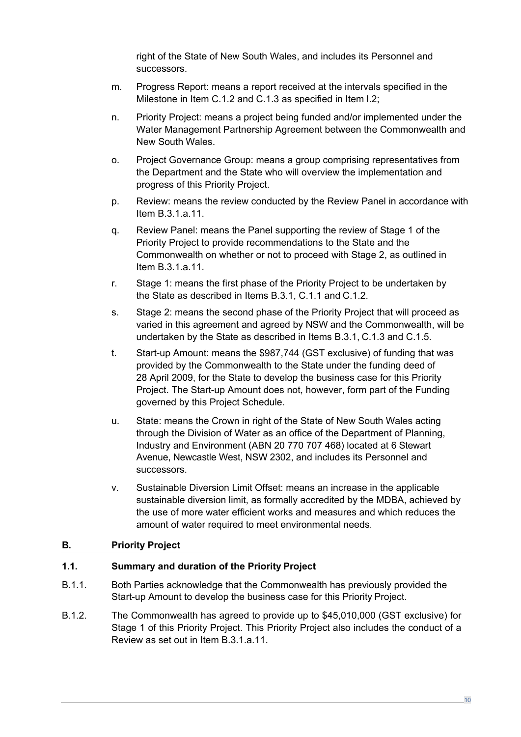right of the State of New South Wales, and includes its Personnel and successors.

- m. Progress Report: means a report received at the intervals specified in the Milestone in Item C.1.2 and C.1.3 as specified in Item I.2;
- n. Priority Project: means a project being funded and/or implemented under the Water Management Partnership Agreement between the Commonwealth and New South Wales.
- o. Project Governance Group: means a group comprising representatives from the Department and the State who will overview the implementation and progress of this Priority Project.
- p. Review: means the review conducted by the Review Panel in accordance with Item [B.3.1.a.11.](#page-10-0)
- q. Review Panel: means the Panel supporting the review of Stage 1 of the Priority Project to provide recommendations to the State and the Commonwealth on whether or not to proceed with Stage 2, as outlined in Item [B.3.1.a.11.](#page-10-0)
- r. Stage 1: means the first phase of the Priority Project to be undertaken by the State as described in Items B.3.1, C.1.1 and C.1.2.
- s. Stage 2: means the second phase of the Priority Project that will proceed as varied in this agreement and agreed by NSW and the Commonwealth, will be undertaken by the State as described in Items B.3.1, C.1.3 and C.1.5.
- t. Start-up Amount: means the \$987,744 (GST exclusive) of funding that was provided by the Commonwealth to the State under the funding deed of 28 April 2009, for the State to develop the business case for this Priority Project. The Start-up Amount does not, however, form part of the Funding governed by this Project Schedule.
- u. State: means the Crown in right of the State of New South Wales acting through the Division of Water as an office of the Department of Planning, Industry and Environment (ABN 20 770 707 468) located at 6 Stewart Avenue, Newcastle West, NSW 2302, and includes its Personnel and successors.
- v. Sustainable Diversion Limit Offset: means an increase in the applicable sustainable diversion limit, as formally accredited by the MDBA, achieved by the use of more water efficient works and measures and which reduces the amount of water required to meet environmental needs.

### **B. Priority Project**

## **1.1. Summary and duration of the Priority Project**

- B.1.1. Both Parties acknowledge that the Commonwealth has previously provided the Start-up Amount to develop the business case for this Priority Project.
- B.1.2. The Commonwealth has agreed to provide up to \$45,010,000 (GST exclusive) for Stage 1 of this Priority Project. This Priority Project also includes the conduct of a Review as set out in Item B.3.1.a.11.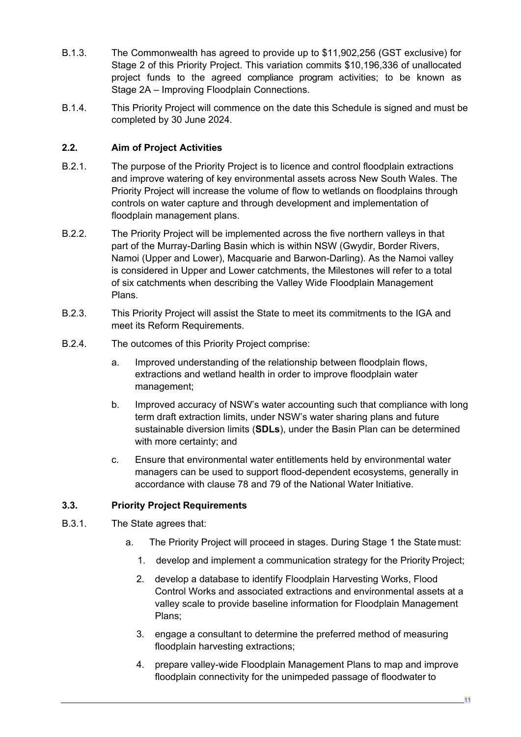- B.1.3. The Commonwealth has agreed to provide up to \$11,902,256 (GST exclusive) for Stage 2 of this Priority Project. This variation commits \$10,196,336 of unallocated project funds to the agreed compliance program activities; to be known as Stage 2A – Improving Floodplain Connections.
- B.1.4. This Priority Project will commence on the date this Schedule is signed and must be completed by 30 June 2024.

## **2.2. Aim of Project Activities**

- B.2.1. The purpose of the Priority Project is to licence and control floodplain extractions and improve watering of key environmental assets across New South Wales. The Priority Project will increase the volume of flow to wetlands on floodplains through controls on water capture and through development and implementation of floodplain management plans.
- B.2.2. The Priority Project will be implemented across the five northern valleys in that part of the Murray-Darling Basin which is within NSW (Gwydir, Border Rivers, Namoi (Upper and Lower), Macquarie and Barwon-Darling). As the Namoi valley is considered in Upper and Lower catchments, the Milestones will refer to a total of six catchments when describing the Valley Wide Floodplain Management Plans.
- B.2.3. This Priority Project will assist the State to meet its commitments to the IGA and meet its Reform Requirements.
- B.2.4. The outcomes of this Priority Project comprise:
	- a. Improved understanding of the relationship between floodplain flows, extractions and wetland health in order to improve floodplain water management;
	- b. Improved accuracy of NSW's water accounting such that compliance with long term draft extraction limits, under NSW's water sharing plans and future sustainable diversion limits (**SDLs**), under the Basin Plan can be determined with more certainty; and
	- c. Ensure that environmental water entitlements held by environmental water managers can be used to support flood-dependent ecosystems, generally in accordance with clause 78 and 79 of the National Water Initiative.

## **3.3. Priority Project Requirements**

- <span id="page-9-1"></span><span id="page-9-0"></span>B.3.1. The State agrees that:
	- a. The Priority Project will proceed in stages. During Stage 1 the State must:
		- 1. develop and implement a communication strategy for the Priority Project;
		- 2. develop a database to identify Floodplain Harvesting Works, Flood Control Works and associated extractions and environmental assets at a valley scale to provide baseline information for Floodplain Management Plans;
		- 3. engage a consultant to determine the preferred method of measuring floodplain harvesting extractions;
		- 4. prepare valley-wide Floodplain Management Plans to map and improve floodplain connectivity for the unimpeded passage of floodwater to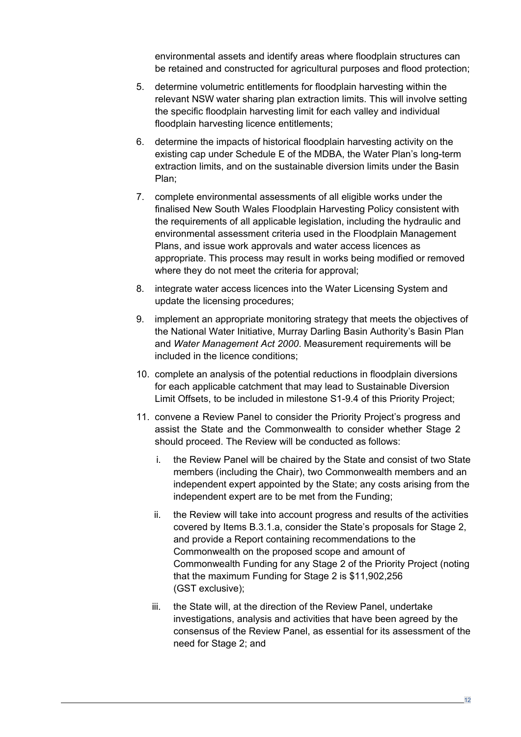environmental assets and identify areas where floodplain structures can be retained and constructed for agricultural purposes and flood protection;

- 5. determine volumetric entitlements for floodplain harvesting within the relevant NSW water sharing plan extraction limits. This will involve setting the specific floodplain harvesting limit for each valley and individual floodplain harvesting licence entitlements;
- 6. determine the impacts of historical floodplain harvesting activity on the existing cap under Schedule E of the MDBA, the Water Plan's long-term extraction limits, and on the sustainable diversion limits under the Basin Plan;
- 7. complete environmental assessments of all eligible works under the finalised New South Wales Floodplain Harvesting Policy consistent with the requirements of all applicable legislation, including the hydraulic and environmental assessment criteria used in the Floodplain Management Plans, and issue work approvals and water access licences as appropriate. This process may result in works being modified or removed where they do not meet the criteria for approval;
- 8. integrate water access licences into the Water Licensing System and update the licensing procedures;
- 9. implement an appropriate monitoring strategy that meets the objectives of the National Water Initiative, Murray Darling Basin Authority's Basin Plan and *Water Management Act 2000*. Measurement requirements will be included in the licence conditions;
- 10. complete an analysis of the potential reductions in floodplain diversions for each applicable catchment that may lead to Sustainable Diversion Limit Offsets, to be included in milestone S1-9.4 of this Priority Project;
- <span id="page-10-0"></span>11. convene a Review Panel to consider the Priority Project's progress and assist the State and the Commonwealth to consider whether Stage 2 should proceed. The Review will be conducted as follows:
	- i. the Review Panel will be chaired by the State and consist of two State members (including the Chair), two Commonwealth members and an independent expert appointed by the State; any costs arising from the independent expert are to be met from the Funding;
	- ii. the Review will take into account progress and results of the activities covered by Items B.3.1.a, consider the State's proposals for Stage 2, and provide a Report containing recommendations to the Commonwealth on the proposed scope and amount of Commonwealth Funding for any Stage 2 of the Priority Project (noting that the maximum Funding for Stage 2 is \$11,902,256 (GST exclusive);
	- iii. the State will, at the direction of the Review Panel, undertake investigations, analysis and activities that have been agreed by the consensus of the Review Panel, as essential for its assessment of the need for Stage 2; and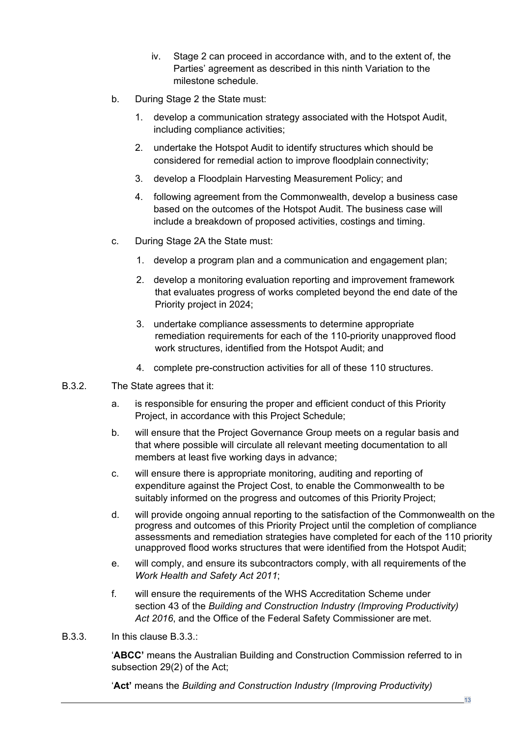- iv. Stage 2 can proceed in accordance with, and to the extent of, the Parties' agreement as described in this ninth Variation to the milestone schedule.
- b. During Stage 2 the State must:
	- 1. develop a communication strategy associated with the Hotspot Audit, including compliance activities;
	- 2. undertake the Hotspot Audit to identify structures which should be considered for remedial action to improve floodplain connectivity;
	- 3. develop a Floodplain Harvesting Measurement Policy; and
	- 4. following agreement from the Commonwealth, develop a business case based on the outcomes of the Hotspot Audit. The business case will include a breakdown of proposed activities, costings and timing.
- c. During Stage 2A the State must:
	- 1. develop a program plan and a communication and engagement plan;
	- 2. develop a monitoring evaluation reporting and improvement framework that evaluates progress of works completed beyond the end date of the Priority project in 2024;
	- 3. undertake compliance assessments to determine appropriate remediation requirements for each of the 110-priority unapproved flood work structures, identified from the Hotspot Audit; and
	- 4. complete pre-construction activities for all of these 110 structures.
- B.3.2. The State agrees that it:
	- a. is responsible for ensuring the proper and efficient conduct of this Priority Project, in accordance with this Project Schedule;
	- b. will ensure that the Project Governance Group meets on a regular basis and that where possible will circulate all relevant meeting documentation to all members at least five working days in advance;
	- c. will ensure there is appropriate monitoring, auditing and reporting of expenditure against the Project Cost, to enable the Commonwealth to be suitably informed on the progress and outcomes of this Priority Project;
	- d. will provide ongoing annual reporting to the satisfaction of the Commonwealth on the progress and outcomes of this Priority Project until the completion of compliance assessments and remediation strategies have completed for each of the 110 priority unapproved flood works structures that were identified from the Hotspot Audit;
	- e. will comply, and ensure its subcontractors comply, with all requirements of the *Work Health and Safety Act 2011*;
	- f. will ensure the requirements of the WHS Accreditation Scheme under section 43 of the *Building and Construction Industry (Improving Productivity) Act 2016*, and the Office of the Federal Safety Commissioner are met.
- B.3.3. In this clause B.3.3.:

'**ABCC'** means the Australian Building and Construction Commission referred to in subsection 29(2) of the Act;

'**Act'** means the *Building and Construction Industry (Improving Productivity)*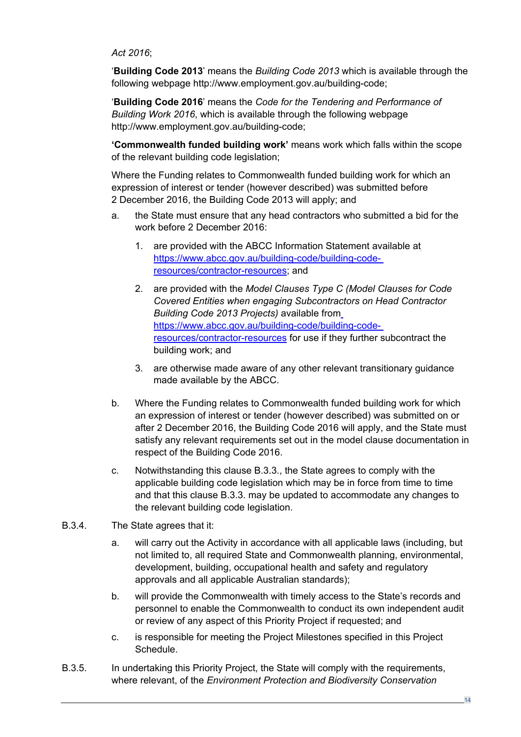*Act 2016*;

'**Building Code 2013**' means the *Building Code 2013* which is available through the following webpage http://www.employment.gov.au/building-code;

'**Building Code 2016**' means the *Code for the Tendering and Performance of Building Work 2016*, which is available through the following webpage http://www.employment.gov.au/building-code;

**'Commonwealth funded building work'** means work which falls within the scope of the relevant building code legislation;

Where the Funding relates to Commonwealth funded building work for which an expression of interest or tender (however described) was submitted before 2 December 2016, the Building Code 2013 will apply; and

- a. the State must ensure that any head contractors who submitted a bid for the work before 2 December 2016:
	- 1. are provided with the ABCC Information Statement available at https://www.abcc.gov.au/building-code/building-coderesources/contractor-resources; and
	- 2. are provided with the *Model Clauses Type C (Model Clauses for Code Covered Entities when engaging Subcontractors on Head Contractor Building Code 2013 Projects)* available from https://www.abcc.gov.au/building-code/building-coderesources/contractor-resources for use if they further subcontract the building work; and
	- 3. are otherwise made aware of any other relevant transitionary guidance made available by the ABCC.
- b. Where the Funding relates to Commonwealth funded building work for which an expression of interest or tender (however described) was submitted on or after 2 December 2016, the Building Code 2016 will apply, and the State must satisfy any relevant requirements set out in the model clause documentation in respect of the Building Code 2016.
- c. Notwithstanding this clause B.3.3., the State agrees to comply with the applicable building code legislation which may be in force from time to time and that this clause B.3.3. may be updated to accommodate any changes to the relevant building code legislation.
- B.3.4. The State agrees that it:
	- a. will carry out the Activity in accordance with all applicable laws (including, but not limited to, all required State and Commonwealth planning, environmental, development, building, occupational health and safety and regulatory approvals and all applicable Australian standards);
	- b. will provide the Commonwealth with timely access to the State's records and personnel to enable the Commonwealth to conduct its own independent audit or review of any aspect of this Priority Project if requested; and
	- c. is responsible for meeting the Project Milestones specified in this Project Schedule.
- B.3.5. In undertaking this Priority Project, the State will comply with the requirements, where relevant, of the *Environment Protection and Biodiversity Conservation*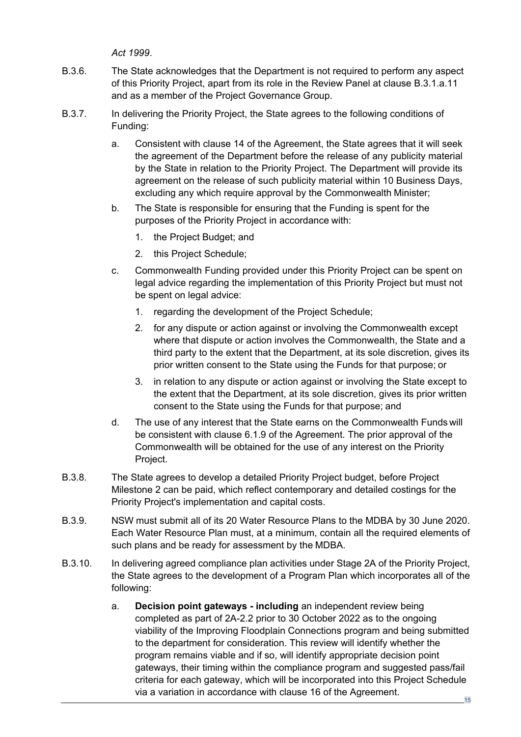*Act 1999*.

- B.3.6. The State acknowledges that the Department is not required to perform any aspect of this Priority Project, apart from its role in the Review Panel at clause [B.3.1](#page-9-0)[.a](#page-9-1)[.11](#page-10-0) and as a member of the Project Governance Group.
- B.3.7. In delivering the Priority Project, the State agrees to the following conditions of Funding:
	- a. Consistent with clause 14 of the Agreement, the State agrees that it will seek the agreement of the Department before the release of any publicity material by the State in relation to the Priority Project. The Department will provide its agreement on the release of such publicity material within 10 Business Days, excluding any which require approval by the Commonwealth Minister;
	- b. The State is responsible for ensuring that the Funding is spent for the purposes of the Priority Project in accordance with:
		- 1. the Project Budget; and
		- 2. this Project Schedule;
	- c. Commonwealth Funding provided under this Priority Project can be spent on legal advice regarding the implementation of this Priority Project but must not be spent on legal advice:
		- 1. regarding the development of the Project Schedule;
		- 2. for any dispute or action against or involving the Commonwealth except where that dispute or action involves the Commonwealth, the State and a third party to the extent that the Department, at its sole discretion, gives its prior written consent to the State using the Funds for that purpose; or
		- 3. in relation to any dispute or action against or involving the State except to the extent that the Department, at its sole discretion, gives its prior written consent to the State using the Funds for that purpose; and
	- d. The use of any interest that the State earns on the Commonwealth Funds will be consistent with clause 6.1.9 of the Agreement. The prior approval of the Commonwealth will be obtained for the use of any interest on the Priority Project.
- B.3.8. The State agrees to develop a detailed Priority Project budget, before Project Milestone 2 can be paid, which reflect contemporary and detailed costings for the Priority Project's implementation and capital costs.
- B.3.9. NSW must submit all of its 20 Water Resource Plans to the MDBA by 30 June 2020. Each Water Resource Plan must, at a minimum, contain all the required elements of such plans and be ready for assessment by the MDBA.
- B.3.10. In delivering agreed compliance plan activities under Stage 2A of the Priority Project, the State agrees to the development of a Program Plan which incorporates all of the following:
	- a. **Decision point gateways - including** an independent review being completed as part of 2A-2.2 prior to 30 October 2022 as to the ongoing viability of the Improving Floodplain Connections program and being submitted to the department for consideration. This review will identify whether the program remains viable and if so, will identify appropriate decision point gateways, their timing within the compliance program and suggested pass/fail criteria for each gateway, which will be incorporated into this Project Schedule via a variation in accordance with clause 16 of the Agreement.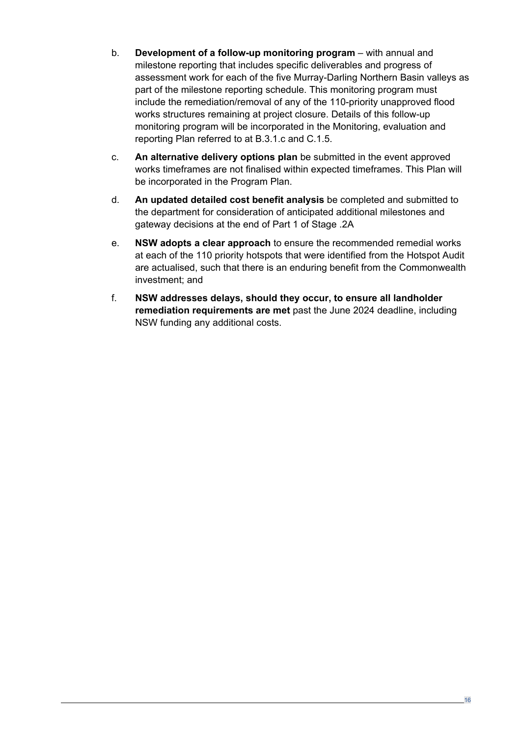- b. **Development of a follow-up monitoring program** with annual and milestone reporting that includes specific deliverables and progress of assessment work for each of the five Murray-Darling Northern Basin valleys as part of the milestone reporting schedule. This monitoring program must include the remediation/removal of any of the 110-priority unapproved flood works structures remaining at project closure. Details of this follow-up monitoring program will be incorporated in the Monitoring, evaluation and reporting Plan referred to at B.3.1.c and C.1.5.
- c. **An alternative delivery options plan** be submitted in the event approved works timeframes are not finalised within expected timeframes. This Plan will be incorporated in the Program Plan.
- d. **An updated detailed cost benefit analysis** be completed and submitted to the department for consideration of anticipated additional milestones and gateway decisions at the end of Part 1 of Stage .2A
- e. **NSW adopts a clear approach** to ensure the recommended remedial works at each of the 110 priority hotspots that were identified from the Hotspot Audit are actualised, such that there is an enduring benefit from the Commonwealth investment; and
- f. **NSW addresses delays, should they occur, to ensure all landholder remediation requirements are met** past the June 2024 deadline, including NSW funding any additional costs.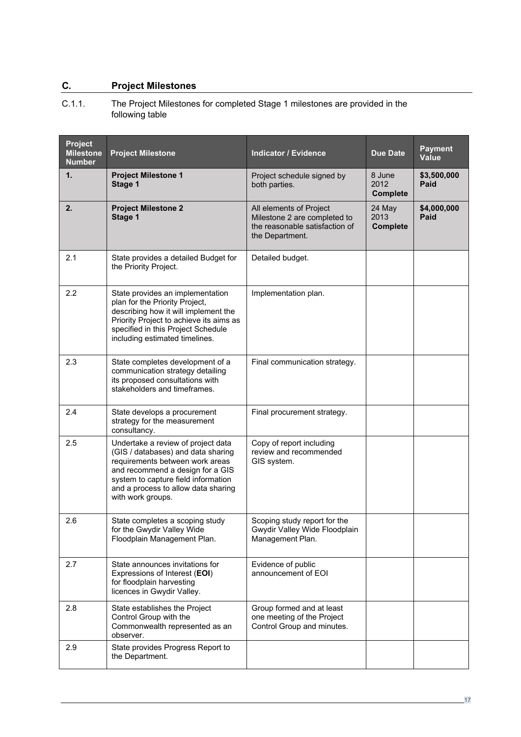## **C. Project Milestones**

<span id="page-15-0"></span>C.1.1. The Project Milestones for completed Stage 1 milestones are provided in the following table

| Project<br><b>Milestone</b><br><b>Number</b> | <b>Project Milestone</b>                                                                                                                                                                                                                           | <b>Indicator / Evidence</b>                                                                                  | <b>Due Date</b>                   | <b>Payment</b><br>Value    |
|----------------------------------------------|----------------------------------------------------------------------------------------------------------------------------------------------------------------------------------------------------------------------------------------------------|--------------------------------------------------------------------------------------------------------------|-----------------------------------|----------------------------|
| 1.                                           | <b>Project Milestone 1</b><br>Stage 1                                                                                                                                                                                                              | Project schedule signed by<br>both parties.                                                                  | 8 June<br>2012<br><b>Complete</b> | \$3,500,000<br>Paid        |
| 2.                                           | <b>Project Milestone 2</b><br>Stage 1                                                                                                                                                                                                              | All elements of Project<br>Milestone 2 are completed to<br>the reasonable satisfaction of<br>the Department. | 24 May<br>2013<br><b>Complete</b> | \$4,000,000<br><b>Paid</b> |
| 2.1                                          | State provides a detailed Budget for<br>the Priority Project.                                                                                                                                                                                      | Detailed budget.                                                                                             |                                   |                            |
| 2.2                                          | State provides an implementation<br>plan for the Priority Project,<br>describing how it will implement the<br>Priority Project to achieve its aims as<br>specified in this Project Schedule<br>including estimated timelines.                      | Implementation plan.                                                                                         |                                   |                            |
| 2.3                                          | State completes development of a<br>communication strategy detailing<br>its proposed consultations with<br>stakeholders and timeframes.                                                                                                            | Final communication strategy.                                                                                |                                   |                            |
| 2.4                                          | State develops a procurement<br>strategy for the measurement<br>consultancy.                                                                                                                                                                       | Final procurement strategy.                                                                                  |                                   |                            |
| 2.5                                          | Undertake a review of project data<br>(GIS / databases) and data sharing<br>requirements between work areas<br>and recommend a design for a GIS<br>system to capture field information<br>and a process to allow data sharing<br>with work groups. | Copy of report including<br>review and recommended<br>GIS system.                                            |                                   |                            |
| 2.6                                          | State completes a scoping study<br>for the Gwydir Valley Wide<br>Floodplain Management Plan.                                                                                                                                                       | Scoping study report for the<br>Gwydir Valley Wide Floodplain<br>Management Plan.                            |                                   |                            |
| 2.7                                          | State announces invitations for<br>Expressions of Interest (EOI)<br>for floodplain harvesting<br>licences in Gwydir Valley.                                                                                                                        | Evidence of public<br>announcement of EOI                                                                    |                                   |                            |
| 2.8                                          | State establishes the Project<br>Control Group with the<br>Commonwealth represented as an<br>observer.                                                                                                                                             | Group formed and at least<br>one meeting of the Project<br>Control Group and minutes.                        |                                   |                            |
| 2.9                                          | State provides Progress Report to<br>the Department.                                                                                                                                                                                               |                                                                                                              |                                   |                            |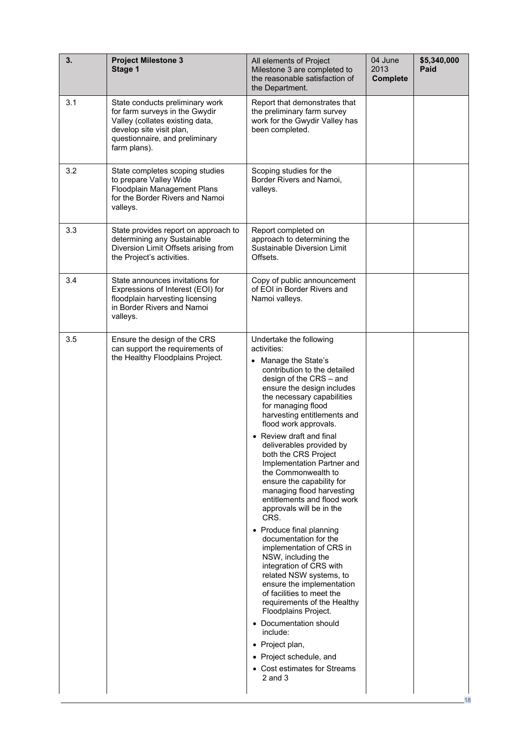| 3.  | <b>Project Milestone 3</b><br>Stage 1                                                                                                                                              | All elements of Project<br>Milestone 3 are completed to<br>the reasonable satisfaction of<br>the Department.                                                                                                                                                                                                                                                                                                                                                                                                                                                                                                                                                                                                                                                                                                                                                                                                                                           | 04 June<br>2013<br><b>Complete</b> | \$5,340,000<br>Paid |
|-----|------------------------------------------------------------------------------------------------------------------------------------------------------------------------------------|--------------------------------------------------------------------------------------------------------------------------------------------------------------------------------------------------------------------------------------------------------------------------------------------------------------------------------------------------------------------------------------------------------------------------------------------------------------------------------------------------------------------------------------------------------------------------------------------------------------------------------------------------------------------------------------------------------------------------------------------------------------------------------------------------------------------------------------------------------------------------------------------------------------------------------------------------------|------------------------------------|---------------------|
| 3.1 | State conducts preliminary work<br>for farm surveys in the Gwydir<br>Valley (collates existing data,<br>develop site visit plan,<br>questionnaire, and preliminary<br>farm plans). | Report that demonstrates that<br>the preliminary farm survey<br>work for the Gwydir Valley has<br>been completed.                                                                                                                                                                                                                                                                                                                                                                                                                                                                                                                                                                                                                                                                                                                                                                                                                                      |                                    |                     |
| 3.2 | State completes scoping studies<br>to prepare Valley Wide<br>Floodplain Management Plans<br>for the Border Rivers and Namoi<br>valleys.                                            | Scoping studies for the<br>Border Rivers and Namoi,<br>valleys.                                                                                                                                                                                                                                                                                                                                                                                                                                                                                                                                                                                                                                                                                                                                                                                                                                                                                        |                                    |                     |
| 3.3 | State provides report on approach to<br>determining any Sustainable<br>Diversion Limit Offsets arising from<br>the Project's activities.                                           | Report completed on<br>approach to determining the<br>Sustainable Diversion Limit<br>Offsets.                                                                                                                                                                                                                                                                                                                                                                                                                                                                                                                                                                                                                                                                                                                                                                                                                                                          |                                    |                     |
| 3.4 | State announces invitations for<br>Expressions of Interest (EOI) for<br>floodplain harvesting licensing<br>in Border Rivers and Namoi<br>valleys.                                  | Copy of public announcement<br>of EOI in Border Rivers and<br>Namoi valleys.                                                                                                                                                                                                                                                                                                                                                                                                                                                                                                                                                                                                                                                                                                                                                                                                                                                                           |                                    |                     |
| 3.5 | Ensure the design of the CRS<br>can support the requirements of<br>the Healthy Floodplains Project.                                                                                | Undertake the following<br>activities:<br>• Manage the State's<br>contribution to the detailed<br>design of the CRS - and<br>ensure the design includes<br>the necessary capabilities<br>for managing flood<br>harvesting entitlements and<br>flood work approvals.<br>• Review draft and final<br>deliverables provided by<br>both the CRS Project<br>Implementation Partner and<br>the Commonwealth to<br>ensure the capability for<br>managing flood harvesting<br>entitlements and flood work<br>approvals will be in the<br>CRS.<br>• Produce final planning<br>documentation for the<br>implementation of CRS in<br>NSW, including the<br>integration of CRS with<br>related NSW systems, to<br>ensure the implementation<br>of facilities to meet the<br>requirements of the Healthy<br>Floodplains Project.<br>• Documentation should<br>include:<br>• Project plan,<br>• Project schedule, and<br>• Cost estimates for Streams<br>$2$ and $3$ |                                    |                     |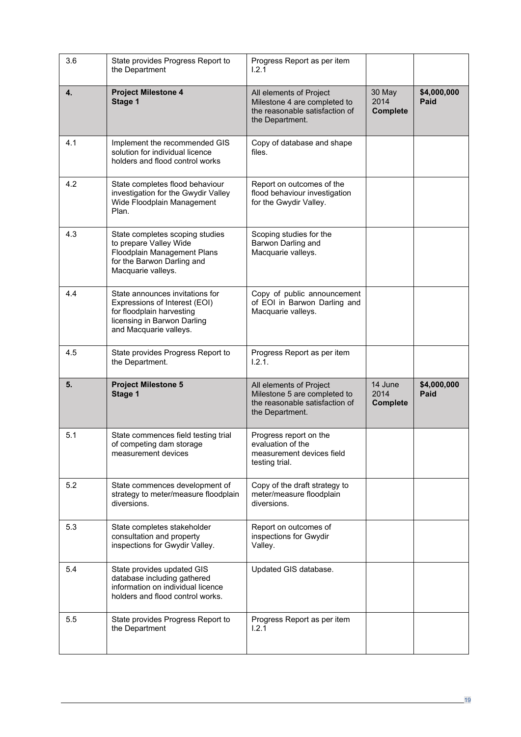| 3.6 | State provides Progress Report to<br>the Department                                                                                                    | Progress Report as per item<br>1.2.1                                                                         |                                    |                     |
|-----|--------------------------------------------------------------------------------------------------------------------------------------------------------|--------------------------------------------------------------------------------------------------------------|------------------------------------|---------------------|
| 4.  | <b>Project Milestone 4</b><br>Stage 1                                                                                                                  | All elements of Project<br>Milestone 4 are completed to<br>the reasonable satisfaction of<br>the Department. | 30 May<br>2014<br><b>Complete</b>  | \$4,000,000<br>Paid |
| 4.1 | Implement the recommended GIS<br>solution for individual licence<br>holders and flood control works                                                    | Copy of database and shape<br>files.                                                                         |                                    |                     |
| 4.2 | State completes flood behaviour<br>investigation for the Gwydir Valley<br>Wide Floodplain Management<br>Plan.                                          | Report on outcomes of the<br>flood behaviour investigation<br>for the Gwydir Valley.                         |                                    |                     |
| 4.3 | State completes scoping studies<br>to prepare Valley Wide<br>Floodplain Management Plans<br>for the Barwon Darling and<br>Macquarie valleys.           | Scoping studies for the<br>Barwon Darling and<br>Macquarie valleys.                                          |                                    |                     |
| 4.4 | State announces invitations for<br>Expressions of Interest (EOI)<br>for floodplain harvesting<br>licensing in Barwon Darling<br>and Macquarie valleys. | Copy of public announcement<br>of EOI in Barwon Darling and<br>Macquarie valleys.                            |                                    |                     |
| 4.5 | State provides Progress Report to<br>the Department.                                                                                                   | Progress Report as per item<br>1.2.1.                                                                        |                                    |                     |
| 5.  | <b>Project Milestone 5</b><br>Stage 1                                                                                                                  | All elements of Project<br>Milestone 5 are completed to<br>the reasonable satisfaction of<br>the Department. | 14 June<br>2014<br><b>Complete</b> | \$4,000,000<br>Paid |
| 5.1 | State commences field testing trial<br>of competing dam storage<br>measurement devices                                                                 | Progress report on the<br>evaluation of the<br>measurement devices field<br>testing trial.                   |                                    |                     |
| 5.2 | State commences development of<br>strategy to meter/measure floodplain<br>diversions.                                                                  | Copy of the draft strategy to<br>meter/measure floodplain<br>diversions.                                     |                                    |                     |
| 5.3 | State completes stakeholder<br>consultation and property<br>inspections for Gwydir Valley.                                                             | Report on outcomes of<br>inspections for Gwydir<br>Valley.                                                   |                                    |                     |
| 5.4 | State provides updated GIS<br>database including gathered<br>information on individual licence<br>holders and flood control works.                     | Updated GIS database.                                                                                        |                                    |                     |
| 5.5 | State provides Progress Report to<br>the Department                                                                                                    | Progress Report as per item<br>1.2.1                                                                         |                                    |                     |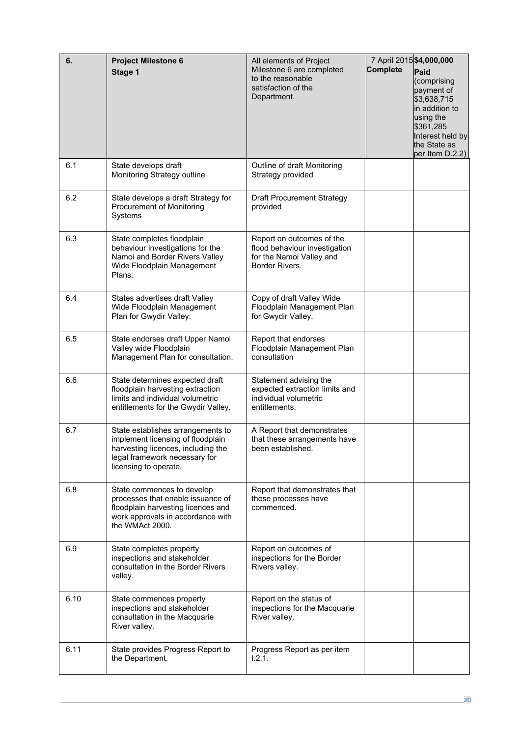| 6.   | <b>Project Milestone 6</b><br>Stage 1                                                                                                                                  | All elements of Project<br>Milestone 6 are completed<br>to the reasonable<br>satisfaction of the<br>Department. | 7 April 2015 \$4,000,000<br><b>Complete</b> | Paid<br>(comprising<br>payment of<br>\$3,638,715<br>in addition to<br>using the<br>\$361,285<br>Interest held by<br>the State as<br>per Item D.2.2) |
|------|------------------------------------------------------------------------------------------------------------------------------------------------------------------------|-----------------------------------------------------------------------------------------------------------------|---------------------------------------------|-----------------------------------------------------------------------------------------------------------------------------------------------------|
| 6.1  | State develops draft<br>Monitoring Strategy outline                                                                                                                    | Outline of draft Monitoring<br>Strategy provided                                                                |                                             |                                                                                                                                                     |
| 6.2  | State develops a draft Strategy for<br>Procurement of Monitoring<br>Systems                                                                                            | <b>Draft Procurement Strategy</b><br>provided                                                                   |                                             |                                                                                                                                                     |
| 6.3  | State completes floodplain<br>behaviour investigations for the<br>Namoi and Border Rivers Valley<br>Wide Floodplain Management<br>Plans.                               | Report on outcomes of the<br>flood behaviour investigation<br>for the Namoi Valley and<br>Border Rivers.        |                                             |                                                                                                                                                     |
| 6.4  | States advertises draft Valley<br>Wide Floodplain Management<br>Plan for Gwydir Valley.                                                                                | Copy of draft Valley Wide<br>Floodplain Management Plan<br>for Gwydir Valley.                                   |                                             |                                                                                                                                                     |
| 6.5  | State endorses draft Upper Namoi<br>Valley wide Floodplain<br>Management Plan for consultation.                                                                        | Report that endorses<br>Floodplain Management Plan<br>consultation                                              |                                             |                                                                                                                                                     |
| 6.6  | State determines expected draft<br>floodplain harvesting extraction<br>limits and individual volumetric<br>entitlements for the Gwydir Valley.                         | Statement advising the<br>expected extraction limits and<br>individual volumetric<br>entitlements.              |                                             |                                                                                                                                                     |
| 6.7  | State establishes arrangements to<br>implement licensing of floodplain<br>harvesting licences, including the<br>legal framework necessary for<br>licensing to operate. | A Report that demonstrates<br>that these arrangements have<br>been established.                                 |                                             |                                                                                                                                                     |
| 6.8  | State commences to develop<br>processes that enable issuance of<br>floodplain harvesting licences and<br>work approvals in accordance with<br>the WMAct 2000.          | Report that demonstrates that<br>these processes have<br>commenced.                                             |                                             |                                                                                                                                                     |
| 6.9  | State completes property<br>inspections and stakeholder<br>consultation in the Border Rivers<br>valley.                                                                | Report on outcomes of<br>inspections for the Border<br>Rivers valley.                                           |                                             |                                                                                                                                                     |
| 6.10 | State commences property<br>inspections and stakeholder<br>consultation in the Macquarie<br>River valley.                                                              | Report on the status of<br>inspections for the Macquarie<br>River valley.                                       |                                             |                                                                                                                                                     |
| 6.11 | State provides Progress Report to<br>the Department.                                                                                                                   | Progress Report as per item<br>1.2.1.                                                                           |                                             |                                                                                                                                                     |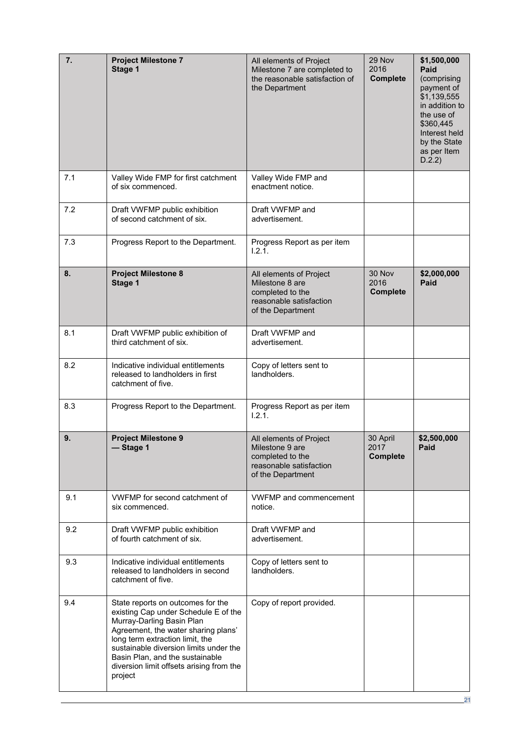| 7.  | <b>Project Milestone 7</b><br>Stage 1                                                                                                                                                                                                                                                                                | All elements of Project<br>Milestone 7 are completed to<br>the reasonable satisfaction of<br>the Department    | 29 Nov<br>2016<br><b>Complete</b>   | \$1,500,000<br>Paid<br>(comprising<br>payment of<br>\$1,139,555<br>in addition to<br>the use of<br>\$360,445<br>Interest held<br>by the State<br>as per Item<br>D.2.2) |
|-----|----------------------------------------------------------------------------------------------------------------------------------------------------------------------------------------------------------------------------------------------------------------------------------------------------------------------|----------------------------------------------------------------------------------------------------------------|-------------------------------------|------------------------------------------------------------------------------------------------------------------------------------------------------------------------|
| 7.1 | Valley Wide FMP for first catchment<br>of six commenced.                                                                                                                                                                                                                                                             | Valley Wide FMP and<br>enactment notice.                                                                       |                                     |                                                                                                                                                                        |
| 7.2 | Draft VWFMP public exhibition<br>of second catchment of six.                                                                                                                                                                                                                                                         | Draft VWFMP and<br>advertisement.                                                                              |                                     |                                                                                                                                                                        |
| 7.3 | Progress Report to the Department.                                                                                                                                                                                                                                                                                   | Progress Report as per item<br>1.2.1.                                                                          |                                     |                                                                                                                                                                        |
| 8.  | <b>Project Milestone 8</b><br>Stage 1                                                                                                                                                                                                                                                                                | All elements of Project<br>Milestone 8 are<br>completed to the<br>reasonable satisfaction<br>of the Department | 30 Nov<br>2016<br><b>Complete</b>   | \$2,000,000<br>Paid                                                                                                                                                    |
| 8.1 | Draft VWFMP public exhibition of<br>third catchment of six.                                                                                                                                                                                                                                                          | Draft VWFMP and<br>advertisement.                                                                              |                                     |                                                                                                                                                                        |
| 8.2 | Indicative individual entitlements<br>released to landholders in first<br>catchment of five.                                                                                                                                                                                                                         | Copy of letters sent to<br>landholders.                                                                        |                                     |                                                                                                                                                                        |
| 8.3 | Progress Report to the Department.                                                                                                                                                                                                                                                                                   | Progress Report as per item<br>1.2.1.                                                                          |                                     |                                                                                                                                                                        |
| 9.  | <b>Project Milestone 9</b><br>-Stage 1                                                                                                                                                                                                                                                                               | All elements of Project<br>Milestone 9 are<br>completed to the<br>reasonable satisfaction<br>of the Department | 30 April<br>2017<br><b>Complete</b> | \$2,500,000<br>Paid                                                                                                                                                    |
| 9.1 | VWFMP for second catchment of<br>six commenced.                                                                                                                                                                                                                                                                      | <b>VWFMP</b> and commencement<br>notice.                                                                       |                                     |                                                                                                                                                                        |
| 9.2 | Draft VWFMP public exhibition<br>of fourth catchment of six.                                                                                                                                                                                                                                                         | Draft VWFMP and<br>advertisement.                                                                              |                                     |                                                                                                                                                                        |
| 9.3 | Indicative individual entitlements<br>released to landholders in second<br>catchment of five.                                                                                                                                                                                                                        | Copy of letters sent to<br>landholders.                                                                        |                                     |                                                                                                                                                                        |
| 9.4 | State reports on outcomes for the<br>existing Cap under Schedule E of the<br>Murray-Darling Basin Plan<br>Agreement, the water sharing plans'<br>long term extraction limit, the<br>sustainable diversion limits under the<br>Basin Plan, and the sustainable<br>diversion limit offsets arising from the<br>project | Copy of report provided.                                                                                       |                                     |                                                                                                                                                                        |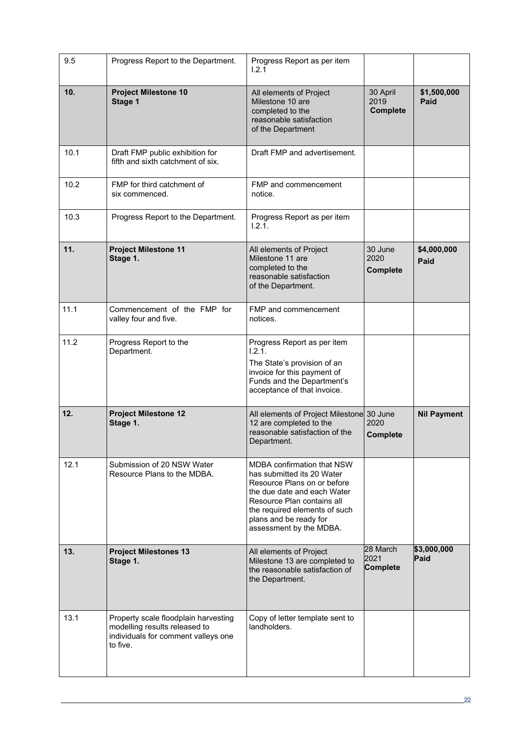| 9.5  | Progress Report to the Department.                                                                                       | Progress Report as per item<br>1.2.1                                                                                                                                                                                                              |                                     |                     |
|------|--------------------------------------------------------------------------------------------------------------------------|---------------------------------------------------------------------------------------------------------------------------------------------------------------------------------------------------------------------------------------------------|-------------------------------------|---------------------|
| 10.  | <b>Project Milestone 10</b><br>Stage 1                                                                                   | All elements of Project<br>Milestone 10 are<br>completed to the<br>reasonable satisfaction<br>of the Department                                                                                                                                   | 30 April<br>2019<br><b>Complete</b> | \$1,500,000<br>Paid |
| 10.1 | Draft FMP public exhibition for<br>fifth and sixth catchment of six.                                                     | Draft FMP and advertisement.                                                                                                                                                                                                                      |                                     |                     |
| 10.2 | FMP for third catchment of<br>six commenced.                                                                             | FMP and commencement<br>notice.                                                                                                                                                                                                                   |                                     |                     |
| 10.3 | Progress Report to the Department.                                                                                       | Progress Report as per item<br>1.2.1.                                                                                                                                                                                                             |                                     |                     |
| 11.  | <b>Project Milestone 11</b><br>Stage 1.                                                                                  | All elements of Project<br>Milestone 11 are<br>completed to the<br>reasonable satisfaction<br>of the Department.                                                                                                                                  | 30 June<br>2020<br><b>Complete</b>  | \$4,000,000<br>Paid |
| 11.1 | Commencement of the FMP for<br>valley four and five.                                                                     | FMP and commencement<br>notices.                                                                                                                                                                                                                  |                                     |                     |
| 11.2 | Progress Report to the<br>Department.                                                                                    | Progress Report as per item<br>1.2.1.<br>The State's provision of an<br>invoice for this payment of<br>Funds and the Department's<br>acceptance of that invoice.                                                                                  |                                     |                     |
| 12.  | <b>Project Milestone 12</b><br>Stage 1.                                                                                  | All elements of Project Milestone 30 June<br>12 are completed to the<br>reasonable satisfaction of the<br>Department.                                                                                                                             | 2020<br><b>Complete</b>             | <b>Nil Payment</b>  |
| 12.1 | Submission of 20 NSW Water<br>Resource Plans to the MDBA.                                                                | <b>MDBA confirmation that NSW</b><br>has submitted its 20 Water<br>Resource Plans on or before<br>the due date and each Water<br>Resource Plan contains all<br>the required elements of such<br>plans and be ready for<br>assessment by the MDBA. |                                     |                     |
| 13.  | <b>Project Milestones 13</b><br>Stage 1.                                                                                 | All elements of Project<br>Milestone 13 are completed to<br>the reasonable satisfaction of<br>the Department.                                                                                                                                     | 28 March<br>2021<br>Complete        | \$3,000,000<br>Paid |
| 13.1 | Property scale floodplain harvesting<br>modelling results released to<br>individuals for comment valleys one<br>to five. | Copy of letter template sent to<br>landholders.                                                                                                                                                                                                   |                                     |                     |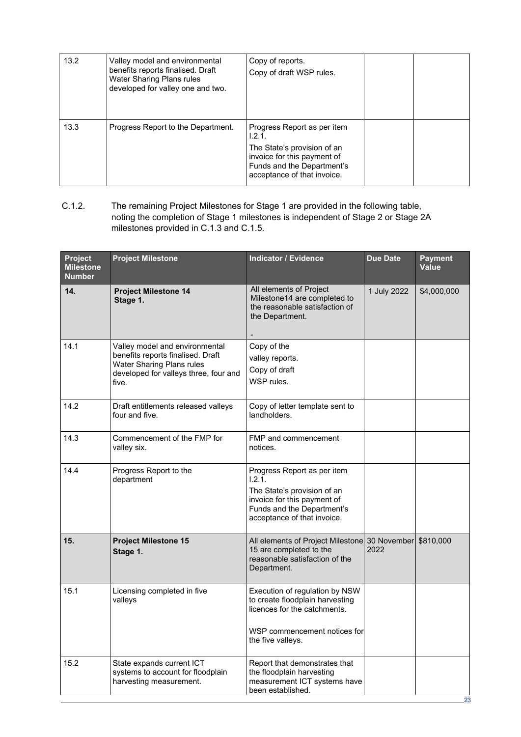| 13.2 | Valley model and environmental<br>benefits reports finalised. Draft<br>Water Sharing Plans rules<br>developed for valley one and two. | Copy of reports.<br>Copy of draft WSP rules.                                                                                                                     |  |
|------|---------------------------------------------------------------------------------------------------------------------------------------|------------------------------------------------------------------------------------------------------------------------------------------------------------------|--|
| 13.3 | Progress Report to the Department.                                                                                                    | Progress Report as per item<br>1.2.1.<br>The State's provision of an<br>invoice for this payment of<br>Funds and the Department's<br>acceptance of that invoice. |  |

C.1.2. The remaining Project Milestones for Stage 1 are provided in the following table, noting the completion of Stage 1 milestones is independent of Stage 2 or Stage 2A milestones provided in C.1.3 and C.1.5.

| Project<br><b>Milestone</b><br><b>Number</b> | <b>Project Milestone</b>                                                                                                                           | <b>Indicator / Evidence</b>                                                                                                                                      | <b>Due Date</b> | <b>Payment</b><br><b>Value</b> |
|----------------------------------------------|----------------------------------------------------------------------------------------------------------------------------------------------------|------------------------------------------------------------------------------------------------------------------------------------------------------------------|-----------------|--------------------------------|
| 14.                                          | <b>Project Milestone 14</b><br>Stage 1.                                                                                                            | All elements of Project<br>Milestone14 are completed to<br>the reasonable satisfaction of<br>the Department.                                                     | 1 July 2022     | \$4,000,000                    |
| 14.1                                         | Valley model and environmental<br>benefits reports finalised. Draft<br>Water Sharing Plans rules<br>developed for valleys three, four and<br>five. | Copy of the<br>valley reports.<br>Copy of draft<br>WSP rules.                                                                                                    |                 |                                |
| 14.2                                         | Draft entitlements released valleys<br>four and five.                                                                                              | Copy of letter template sent to<br>landholders.                                                                                                                  |                 |                                |
| 14.3                                         | Commencement of the FMP for<br>valley six.                                                                                                         | FMP and commencement<br>notices.                                                                                                                                 |                 |                                |
| 14.4                                         | Progress Report to the<br>department                                                                                                               | Progress Report as per item<br>1.2.1.<br>The State's provision of an<br>invoice for this payment of<br>Funds and the Department's<br>acceptance of that invoice. |                 |                                |
| 15.                                          | <b>Project Milestone 15</b><br>Stage 1.                                                                                                            | All elements of Project Milestone 30 November \$810,000<br>15 are completed to the<br>reasonable satisfaction of the<br>Department.                              | 2022            |                                |
| 15.1                                         | Licensing completed in five<br>valleys                                                                                                             | Execution of regulation by NSW<br>to create floodplain harvesting<br>licences for the catchments.<br>WSP commencement notices for<br>the five valleys.           |                 |                                |
| 15.2                                         | State expands current ICT<br>systems to account for floodplain<br>harvesting measurement.                                                          | Report that demonstrates that<br>the floodplain harvesting<br>measurement ICT systems have<br>been established.                                                  |                 | 23                             |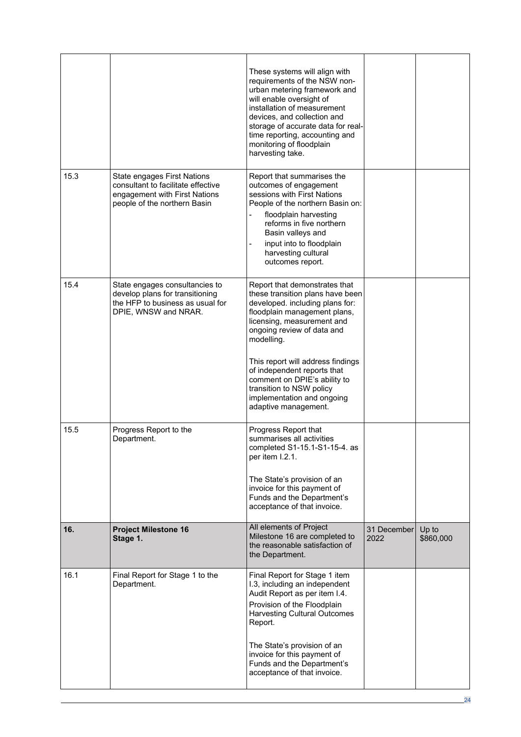|      |                                                                                                                                    | These systems will align with<br>requirements of the NSW non-<br>urban metering framework and<br>will enable oversight of<br>installation of measurement<br>devices, and collection and<br>storage of accurate data for real-<br>time reporting, accounting and<br>monitoring of floodplain<br>harvesting take.                                                                                      |                     |                    |
|------|------------------------------------------------------------------------------------------------------------------------------------|------------------------------------------------------------------------------------------------------------------------------------------------------------------------------------------------------------------------------------------------------------------------------------------------------------------------------------------------------------------------------------------------------|---------------------|--------------------|
| 15.3 | State engages First Nations<br>consultant to facilitate effective<br>engagement with First Nations<br>people of the northern Basin | Report that summarises the<br>outcomes of engagement<br>sessions with First Nations<br>People of the northern Basin on:<br>floodplain harvesting<br>reforms in five northern<br>Basin valleys and<br>input into to floodplain<br>$\blacksquare$<br>harvesting cultural<br>outcomes report.                                                                                                           |                     |                    |
| 15.4 | State engages consultancies to<br>develop plans for transitioning<br>the HFP to business as usual for<br>DPIE, WNSW and NRAR.      | Report that demonstrates that<br>these transition plans have been<br>developed. including plans for:<br>floodplain management plans,<br>licensing, measurement and<br>ongoing review of data and<br>modelling.<br>This report will address findings<br>of independent reports that<br>comment on DPIE's ability to<br>transition to NSW policy<br>implementation and ongoing<br>adaptive management. |                     |                    |
| 15.5 | Progress Report to the<br>Department.                                                                                              | Progress Report that<br>summarises all activities<br>completed S1-15.1-S1-15-4. as<br>per item I.2.1.<br>The State's provision of an<br>invoice for this payment of<br>Funds and the Department's<br>acceptance of that invoice.                                                                                                                                                                     |                     |                    |
| 16.  | <b>Project Milestone 16</b><br>Stage 1.                                                                                            | All elements of Project<br>Milestone 16 are completed to<br>the reasonable satisfaction of<br>the Department.                                                                                                                                                                                                                                                                                        | 31 December<br>2022 | Up to<br>\$860,000 |
| 16.1 | Final Report for Stage 1 to the<br>Department.                                                                                     | Final Report for Stage 1 item<br>I.3, including an independent<br>Audit Report as per item I.4.<br>Provision of the Floodplain<br><b>Harvesting Cultural Outcomes</b><br>Report.<br>The State's provision of an<br>invoice for this payment of<br>Funds and the Department's<br>acceptance of that invoice.                                                                                          |                     |                    |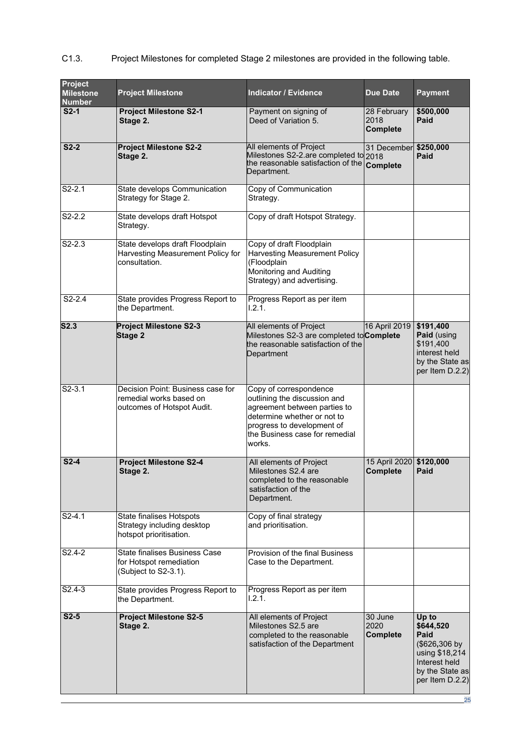| Project<br><b>Milestone</b><br><b>Number</b> | <b>Project Milestone</b>                                                                   | <b>Indicator / Evidence</b>                                                                                                                                                                     | <b>Due Date</b>                            | <b>Payment</b>                                                                                                       |
|----------------------------------------------|--------------------------------------------------------------------------------------------|-------------------------------------------------------------------------------------------------------------------------------------------------------------------------------------------------|--------------------------------------------|----------------------------------------------------------------------------------------------------------------------|
| $S2-1$                                       | <b>Project Milestone S2-1</b><br>Stage 2.                                                  | Payment on signing of<br>Deed of Variation 5.                                                                                                                                                   | 28 February<br>2018<br><b>Complete</b>     | \$500,000<br>Paid                                                                                                    |
| $S2-2$                                       | <b>Project Milestone S2-2</b><br>Stage 2.                                                  | All elements of Project<br>Milestones S2-2.are completed to 2018<br>the reasonable satisfaction of the Complete<br>Department.                                                                  | 31 December                                | \$250,000<br>Paid                                                                                                    |
| $S2-2.1$                                     | State develops Communication<br>Strategy for Stage 2.                                      | Copy of Communication<br>Strategy.                                                                                                                                                              |                                            |                                                                                                                      |
| $S2-2.2$                                     | State develops draft Hotspot<br>Strategy.                                                  | Copy of draft Hotspot Strategy.                                                                                                                                                                 |                                            |                                                                                                                      |
| $\overline{S}$ 2-2.3                         | State develops draft Floodplain<br>Harvesting Measurement Policy for<br>consultation.      | Copy of draft Floodplain<br><b>Harvesting Measurement Policy</b><br>(Floodplain<br>Monitoring and Auditing<br>Strategy) and advertising.                                                        |                                            |                                                                                                                      |
| $S2-2.4$                                     | State provides Progress Report to<br>the Department.                                       | Progress Report as per item<br>1.2.1.                                                                                                                                                           |                                            |                                                                                                                      |
| S2.3                                         | <b>Project Milestone S2-3</b><br>Stage 2                                                   | All elements of Project<br>Milestones S2-3 are completed to <b>Complete</b><br>the reasonable satisfaction of the<br>Department                                                                 | 16 April 2019                              | \$191,400<br>Paid (using<br>\$191,400<br>interest held<br>by the State as<br>per Item D.2.2)                         |
| $S2-3.1$                                     | Decision Point: Business case for<br>remedial works based on<br>outcomes of Hotspot Audit. | Copy of correspondence<br>outlining the discussion and<br>agreement between parties to<br>determine whether or not to<br>progress to development of<br>the Business case for remedial<br>works. |                                            |                                                                                                                      |
| $S2-4$                                       | <b>Project Milestone S2-4</b><br>Stage 2.                                                  | All elements of Project<br>Milestones S2.4 are<br>completed to the reasonable<br>satisfaction of the<br>Department.                                                                             | 15 April 2020 \$120,000<br><b>Complete</b> | Paid                                                                                                                 |
| $S2-4.1$                                     | <b>State finalises Hotspots</b><br>Strategy including desktop<br>hotspot prioritisation.   | Copy of final strategy<br>and prioritisation.                                                                                                                                                   |                                            |                                                                                                                      |
| S <sub>2.4</sub> -2                          | <b>State finalises Business Case</b><br>for Hotspot remediation<br>(Subject to S2-3.1).    | Provision of the final Business<br>Case to the Department.                                                                                                                                      |                                            |                                                                                                                      |
| $S2.4-3$                                     | State provides Progress Report to<br>the Department.                                       | Progress Report as per item<br>1.2.1.                                                                                                                                                           |                                            |                                                                                                                      |
| $S2-5$                                       | <b>Project Milestone S2-5</b><br>Stage 2.                                                  | All elements of Project<br>Milestones S2.5 are<br>completed to the reasonable<br>satisfaction of the Department                                                                                 | 30 June<br>2020<br><b>Complete</b>         | Up to<br>\$644,520<br>Paid<br>(\$626,306 by<br>using \$18,214<br>Interest held<br>by the State as<br>per Item D.2.2) |

## C1.3. Project Milestones for completed Stage 2 milestones are provided in the following table.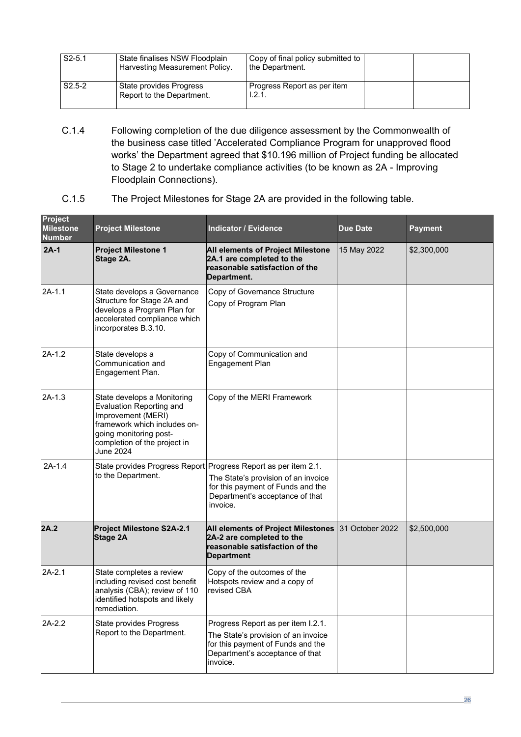| $S2 - 5.1$ | State finalises NSW Floodplain<br>Harvesting Measurement Policy. | Copy of final policy submitted to<br>the Department. |  |
|------------|------------------------------------------------------------------|------------------------------------------------------|--|
| $S2.5-2$   | State provides Progress<br>Report to the Department.             | Progress Report as per item<br>.2.1                  |  |

- C.1.4 Following completion of the due diligence assessment by the Commonwealth of the business case titled 'Accelerated Compliance Program for unapproved flood works' the Department agreed that \$10.196 million of Project funding be allocated to Stage 2 to undertake compliance activities (to be known as 2A - Improving Floodplain Connections).
- C.1.5 The Project Milestones for Stage 2A are provided in the following table.

| <b>Project</b><br><b>Milestone</b><br><b>Number</b> | <b>Project Milestone</b>                                                                                                                                                                    | <b>Indicator / Evidence</b>                                                                                                                                                                | <b>Due Date</b> | <b>Payment</b> |
|-----------------------------------------------------|---------------------------------------------------------------------------------------------------------------------------------------------------------------------------------------------|--------------------------------------------------------------------------------------------------------------------------------------------------------------------------------------------|-----------------|----------------|
| $2A-1$                                              | <b>Project Milestone 1</b><br>Stage 2A.                                                                                                                                                     | All elements of Project Milestone<br>2A.1 are completed to the<br>reasonable satisfaction of the<br>Department.                                                                            | 15 May 2022     | \$2,300,000    |
| $2A-1.1$                                            | State develops a Governance<br>Structure for Stage 2A and<br>develops a Program Plan for<br>accelerated compliance which<br>incorporates B.3.10.                                            | Copy of Governance Structure<br>Copy of Program Plan                                                                                                                                       |                 |                |
| $2A-1.2$                                            | State develops a<br>Communication and<br>Engagement Plan.                                                                                                                                   | Copy of Communication and<br>Engagement Plan                                                                                                                                               |                 |                |
| 2A-1.3                                              | State develops a Monitoring<br><b>Evaluation Reporting and</b><br>Improvement (MERI)<br>framework which includes on-<br>going monitoring post-<br>completion of the project in<br>June 2024 | Copy of the MERI Framework                                                                                                                                                                 |                 |                |
| $2A-1.4$                                            | to the Department.                                                                                                                                                                          | State provides Progress Report Progress Report as per item 2.1.<br>The State's provision of an invoice<br>for this payment of Funds and the<br>Department's acceptance of that<br>invoice. |                 |                |
| 2A.2                                                | Project Milestone S2A-2.1<br><b>Stage 2A</b>                                                                                                                                                | All elements of Project Milestones<br>2A-2 are completed to the<br>reasonable satisfaction of the<br><b>Department</b>                                                                     | 31 October 2022 | \$2,500,000    |
| $2A-2.1$                                            | State completes a review<br>including revised cost benefit<br>analysis (CBA); review of 110<br>identified hotspots and likely<br>remediation.                                               | Copy of the outcomes of the<br>Hotspots review and a copy of<br>revised CBA                                                                                                                |                 |                |
| $2A-2.2$                                            | State provides Progress<br>Report to the Department.                                                                                                                                        | Progress Report as per item I.2.1.<br>The State's provision of an invoice<br>for this payment of Funds and the<br>Department's acceptance of that<br>invoice.                              |                 |                |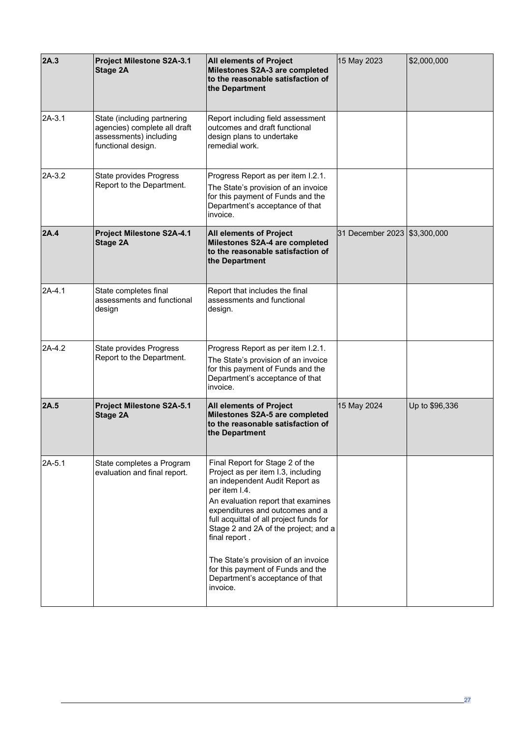| 2A.3     | Project Milestone S2A-3.1<br>Stage 2A                                                                       | <b>All elements of Project</b><br>Milestones S2A-3 are completed<br>to the reasonable satisfaction of<br>the Department                                                                                                                                                                                                                                                                                                          | 15 May 2023                    | \$2,000,000    |
|----------|-------------------------------------------------------------------------------------------------------------|----------------------------------------------------------------------------------------------------------------------------------------------------------------------------------------------------------------------------------------------------------------------------------------------------------------------------------------------------------------------------------------------------------------------------------|--------------------------------|----------------|
| $2A-3.1$ | State (including partnering<br>agencies) complete all draft<br>assessments) including<br>functional design. | Report including field assessment<br>outcomes and draft functional<br>design plans to undertake<br>remedial work.                                                                                                                                                                                                                                                                                                                |                                |                |
| $2A-3.2$ | State provides Progress<br>Report to the Department.                                                        | Progress Report as per item I.2.1.<br>The State's provision of an invoice<br>for this payment of Funds and the<br>Department's acceptance of that<br>invoice.                                                                                                                                                                                                                                                                    |                                |                |
| 2A.4     | Project Milestone S2A-4.1<br>Stage 2A                                                                       | <b>All elements of Project</b><br>Milestones S2A-4 are completed<br>to the reasonable satisfaction of<br>the Department                                                                                                                                                                                                                                                                                                          | 31 December 2023   \$3,300,000 |                |
| $2A-4.1$ | State completes final<br>assessments and functional<br>design                                               | Report that includes the final<br>assessments and functional<br>design.                                                                                                                                                                                                                                                                                                                                                          |                                |                |
| 2A-4.2   | State provides Progress<br>Report to the Department.                                                        | Progress Report as per item I.2.1.<br>The State's provision of an invoice<br>for this payment of Funds and the<br>Department's acceptance of that<br>invoice.                                                                                                                                                                                                                                                                    |                                |                |
| 2A.5     | Project Milestone S2A-5.1<br><b>Stage 2A</b>                                                                | <b>All elements of Project</b><br>Milestones S2A-5 are completed<br>to the reasonable satisfaction of<br>the Department                                                                                                                                                                                                                                                                                                          | 15 May 2024                    | Up to \$96,336 |
| $2A-5.1$ | State completes a Program<br>evaluation and final report.                                                   | Final Report for Stage 2 of the<br>Project as per item I.3, including<br>an independent Audit Report as<br>per item I.4.<br>An evaluation report that examines<br>expenditures and outcomes and a<br>full acquittal of all project funds for<br>Stage 2 and 2A of the project; and a<br>final report.<br>The State's provision of an invoice<br>for this payment of Funds and the<br>Department's acceptance of that<br>invoice. |                                |                |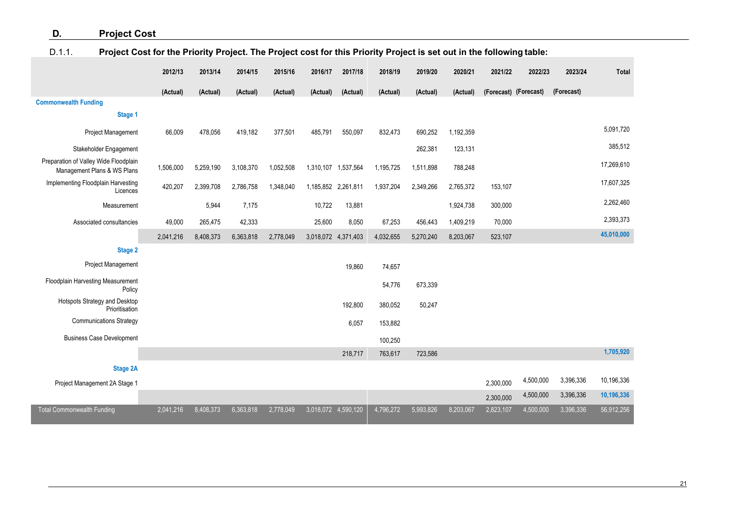## **D. Project Cost**

## D.1.1. **Project Cost for the Priority Project. The Project cost for this Priority Project is set out in the following table:**

<span id="page-26-0"></span>

|                                                                      | 2012/13   | 2013/14   | 2014/15   | 2015/16   | 2016/17             | 2017/18             | 2018/19   | 2019/20   | 2020/21   | 2021/22               | 2022/23   | 2023/24    | <b>Total</b> |
|----------------------------------------------------------------------|-----------|-----------|-----------|-----------|---------------------|---------------------|-----------|-----------|-----------|-----------------------|-----------|------------|--------------|
|                                                                      | (Actual)  | (Actual)  | (Actual)  | (Actual)  | (Actual)            | (Actual)            | (Actual)  | (Actual)  | (Actual)  | (Forecast) (Forecast) |           | (Forecast) |              |
| <b>Commonwealth Funding</b>                                          |           |           |           |           |                     |                     |           |           |           |                       |           |            |              |
| Stage 1                                                              |           |           |           |           |                     |                     |           |           |           |                       |           |            |              |
| <b>Project Management</b>                                            | 66,009    | 478,056   | 419,182   | 377,501   | 485,791             | 550,097             | 832,473   | 690,252   | 1,192,359 |                       |           |            | 5,091,720    |
| Stakeholder Engagement                                               |           |           |           |           |                     |                     |           | 262,381   | 123,131   |                       |           |            | 385,512      |
| Preparation of Valley Wide Floodplain<br>Management Plans & WS Plans | 1,506,000 | 5,259,190 | 3,108,370 | 1,052,508 |                     | 1,310,107 1,537,564 | 1,195,725 | 1,511,898 | 788,248   |                       |           |            | 17,269,610   |
| Implementing Floodplain Harvesting<br>Licences                       | 420,207   | 2,399,708 | 2,786,758 | 1,348,040 |                     | 1,185,852 2,261,811 | 1,937,204 | 2,349,266 | 2,765,372 | 153,107               |           |            | 17,607,325   |
| Measurement                                                          |           | 5,944     | 7,175     |           | 10,722              | 13,881              |           |           | 1,924,738 | 300,000               |           |            | 2,262,460    |
| Associated consultancies                                             | 49,000    | 265,475   | 42,333    |           | 25,600              | 8,050               | 67,253    | 456,443   | 1,409,219 | 70,000                |           |            | 2,393,373    |
|                                                                      | 2,041,216 | 8,408,373 | 6,363,818 | 2,778,049 | 3,018,072 4,371,403 |                     | 4,032,655 | 5,270,240 | 8,203,067 | 523,107               |           |            | 45,010,000   |
| <b>Stage 2</b>                                                       |           |           |           |           |                     |                     |           |           |           |                       |           |            |              |
| <b>Project Management</b>                                            |           |           |           |           |                     | 19,860              | 74,657    |           |           |                       |           |            |              |
| Floodplain Harvesting Measurement<br>Policy                          |           |           |           |           |                     |                     | 54,776    | 673,339   |           |                       |           |            |              |
| Hotspots Strategy and Desktop<br>Prioritisation                      |           |           |           |           |                     | 192,800             | 380,052   | 50,247    |           |                       |           |            |              |
| <b>Communications Strategy</b>                                       |           |           |           |           |                     | 6,057               | 153,882   |           |           |                       |           |            |              |
| <b>Business Case Development</b>                                     |           |           |           |           |                     |                     | 100,250   |           |           |                       |           |            |              |
|                                                                      |           |           |           |           |                     | 218,717             | 763,617   | 723,586   |           |                       |           |            | 1,705,920    |
| <b>Stage 2A</b>                                                      |           |           |           |           |                     |                     |           |           |           |                       |           |            |              |
| Project Management 2A Stage 1                                        |           |           |           |           |                     |                     |           |           |           | 2,300,000             | 4,500,000 | 3,396,336  | 10,196,336   |
|                                                                      |           |           |           |           |                     |                     |           |           |           | 2,300,000             | 4,500,000 | 3,396,336  | 10,196,336   |
| <b>Total Commonwealth Funding</b>                                    | 2,041,216 | 8,408,373 | 6,363,818 | 2,778,049 | 3,018,072 4,590,120 |                     | 4,796,272 | 5,993,826 | 8,203,067 | 2,823,107             | 4,500,000 | 3,396,336  | 56,912,256   |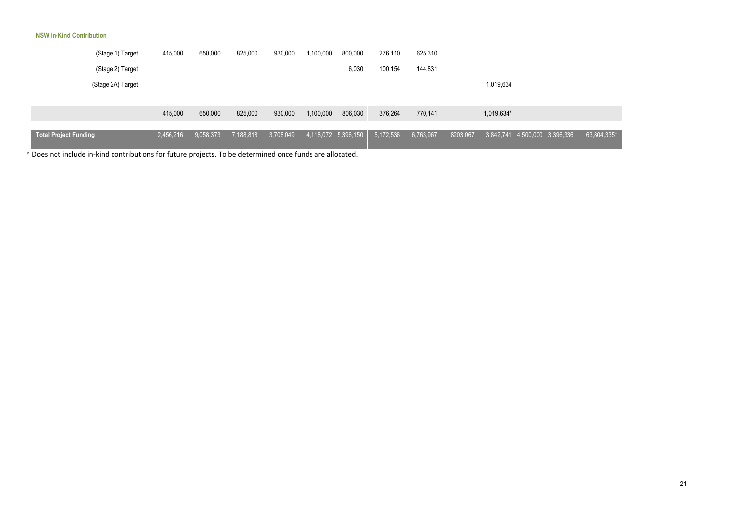#### **NSW In-Kind Contribution**

| (Stage 1) Target             | 415,000   | 650,000   | 825,000   | 930,000   | 1,100,000 | 800,000             | 276,110   | 625,310   |          |            |                               |             |
|------------------------------|-----------|-----------|-----------|-----------|-----------|---------------------|-----------|-----------|----------|------------|-------------------------------|-------------|
| (Stage 2) Target             |           |           |           |           |           | 6,030               | 100,154   | 144,831   |          |            |                               |             |
| (Stage 2A) Target            |           |           |           |           |           |                     |           |           |          | 1,019,634  |                               |             |
|                              |           |           |           |           |           |                     |           |           |          |            |                               |             |
|                              | 415,000   | 650,000   | 825,000   | 930,000   | 1,100,000 | 806,030             | 376,264   | 770,141   |          | 1,019,634* |                               |             |
|                              |           |           |           |           |           |                     |           |           |          |            |                               |             |
| <b>Total Project Funding</b> | 2,456,216 | 9,058,373 | 7,188,818 | 3,708,049 |           | 4,118,072 5,396,150 | 5,172,536 | 6,763,967 | 8203,067 |            | 3,842,741 4,500,000 3,396,336 | 63,804,335* |

\* Does not include in-kind contributions for future projects. To be determined once funds are allocated.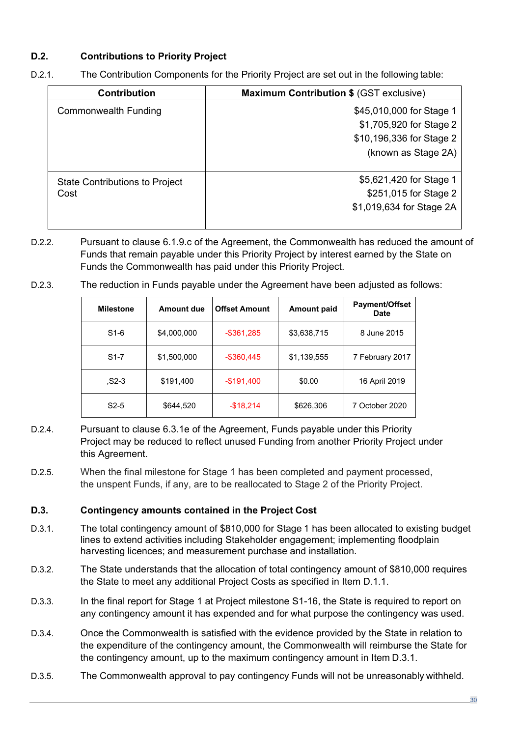## **D.2. Contributions to Priority Project**

| <b>Contribution</b>            | <b>Maximum Contribution \$ (GST exclusive)</b> |
|--------------------------------|------------------------------------------------|
| <b>Commonwealth Funding</b>    | \$45,010,000 for Stage 1                       |
|                                | \$1,705,920 for Stage 2                        |
|                                | \$10,196,336 for Stage 2                       |
|                                | (known as Stage 2A)                            |
| State Contributions to Project | \$5,621,420 for Stage 1                        |
| Cost                           | \$251,015 for Stage 2                          |
|                                | \$1,019,634 for Stage 2A                       |
|                                |                                                |

D.2.1. The Contribution Components for the Priority Project are set out in the following table:

- D.2.2. Pursuant to clause 6.1.9.c of the Agreement, the Commonwealth has reduced the amount of Funds that remain payable under this Priority Project by interest earned by the State on Funds the Commonwealth has paid under this Priority Project.
- D.2.3. The reduction in Funds payable under the Agreement have been adjusted as follows:

| <b>Milestone</b> | Amount due  | <b>Offset Amount</b> | <b>Amount paid</b> | <b>Payment/Offset</b><br><b>Date</b> |
|------------------|-------------|----------------------|--------------------|--------------------------------------|
| S1-6             | \$4,000,000 | $-$ \$361,285        | \$3,638,715        | 8 June 2015                          |
| $S1-7$           | \$1,500,000 | $-$ \$360,445        | \$1,139,555        | 7 February 2017                      |
| $S2-3$           | \$191,400   | $-$191,400$          | \$0.00             | 16 April 2019                        |
| $S2-5$           | \$644,520   | $-$18,214$           | \$626,306          | 7 October 2020                       |

- D.2.4. Pursuant to clause 6.3.1e of the Agreement, Funds payable under this Priority Project may be reduced to reflect unused Funding from another Priority Project under this Agreement.
- D.2.5. When the final milestone for Stage 1 has been completed and payment processed, the unspent Funds, if any, are to be reallocated to Stage 2 of the Priority Project.

## **D.3. Contingency amounts contained in the Project Cost**

- D.3.1. The total contingency amount of \$810,000 for Stage 1 has been allocated to existing budget lines to extend activities including Stakeholder engagement; implementing floodplain harvesting licences; and measurement purchase and installation.
- D.3.2. The State understands that the allocation of total contingency amount of \$810,000 requires the State to meet any additional Project Costs as specified in Item D.1.1.
- D.3.3. In the final report for Stage 1 at Project milestone S1-16, the State is required to report on any contingency amount it has expended and for what purpose the contingency was used.
- D.3.4. Once the Commonwealth is satisfied with the evidence provided by the State in relation to the expenditure of the contingency amount, the Commonwealth will reimburse the State for the contingency amount, up to the maximum contingency amount in Item D.3.1.
- D.3.5. The Commonwealth approval to pay contingency Funds will not be unreasonably withheld.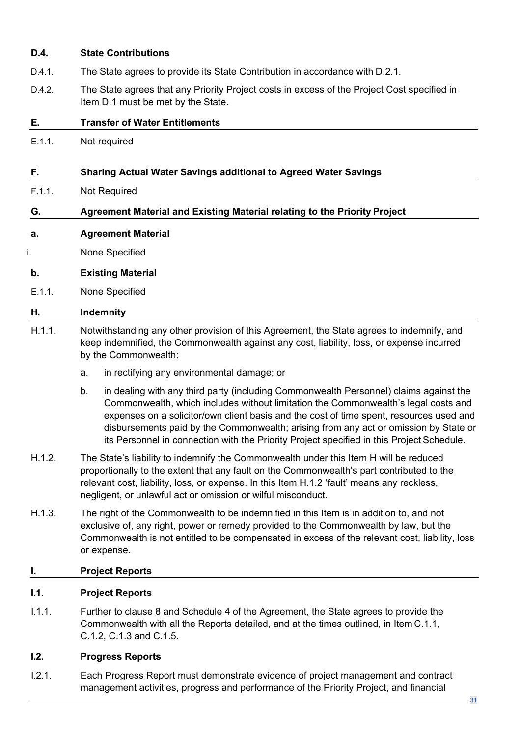## **D.4. State Contributions**

- D.4.1. The State agrees to provide its State Contribution in accordance with D.2.1.
- D.4.2. The State agrees that any Priority Project costs in excess of the Project Cost specified in Item D.1 must be met by the State.

## **E. Transfer of Water Entitlements**

E.1.1. Not required

## **F. Sharing Actual Water Savings additional to Agreed Water Savings**

F.1.1. Not Required

## **G. Agreement Material and Existing Material relating to the Priority Project**

- **a. Agreement Material**
- i. None Specified

### **b. Existing Material**

E.1.1. None Specified

### **H. Indemnity**

- H.1.1. Notwithstanding any other provision of this Agreement, the State agrees to indemnify, and keep indemnified, the Commonwealth against any cost, liability, loss, or expense incurred by the Commonwealth:
	- a. in rectifying any environmental damage; or
	- b. in dealing with any third party (including Commonwealth Personnel) claims against the Commonwealth, which includes without limitation the Commonwealth's legal costs and expenses on a solicitor/own client basis and the cost of time spent, resources used and disbursements paid by the Commonwealth; arising from any act or omission by State or its Personnel in connection with the Priority Project specified in this Project Schedule.
- H.1.2. The State's liability to indemnify the Commonwealth under this Item H will be reduced proportionally to the extent that any fault on the Commonwealth's part contributed to the relevant cost, liability, loss, or expense. In this Item H.1.2 'fault' means any reckless, negligent, or unlawful act or omission or wilful misconduct.
- H.1.3. The right of the Commonwealth to be indemnified in this Item is in addition to, and not exclusive of, any right, power or remedy provided to the Commonwealth by law, but the Commonwealth is not entitled to be compensated in excess of the relevant cost, liability, loss or expense.

### **I. Project Reports**

### **I.1. Project Reports**

I.1.1. Further to clause 8 and Schedule 4 of the Agreement, the State agrees to provide the Commonwealth with all the Reports detailed, and at the times outlined, in Item [C.1.1,](#page-15-0) C.1.2, C.1.3 and C.1.5.

## **I.2. Progress Reports**

I.2.1. Each Progress Report must demonstrate evidence of project management and contract management activities, progress and performance of the Priority Project, and financial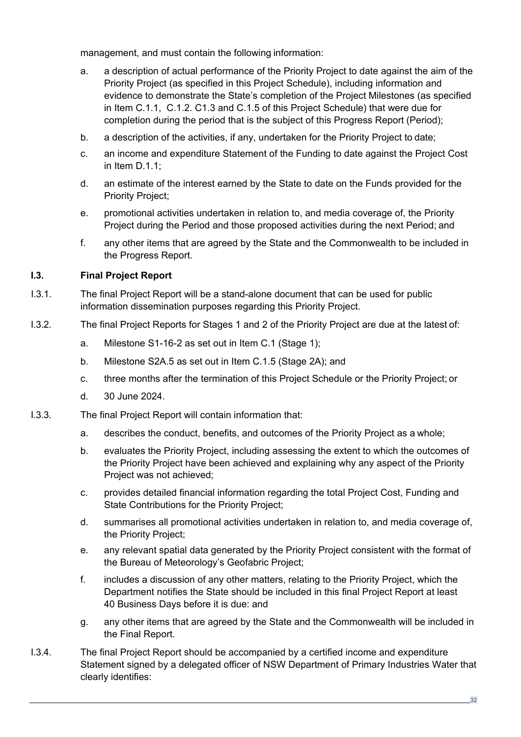management, and must contain the following information:

- a. a description of actual performance of the Priority Project to date against the aim of the Priority Project (as specified in this Project Schedule), including information and evidence to demonstrate the State's completion of the Project Milestones (as specified in Item [C.1.1,](#page-15-0) C.1.2. C1.3 and C.1.5 of this Project Schedule) that were due for completion during the period that is the subject of this Progress Report (Period);
- b. a description of the activities, if any, undertaken for the Priority Project to date;
- c. an income and expenditure Statement of the Funding to date against the Project Cost in Item [D.1.1;](#page-26-0)
- d. an estimate of the interest earned by the State to date on the Funds provided for the Priority Project;
- e. promotional activities undertaken in relation to, and media coverage of, the Priority Project during the Period and those proposed activities during the next Period; and
- f. any other items that are agreed by the State and the Commonwealth to be included in the Progress Report.

## **I.3. Final Project Report**

- I.3.1. The final Project Report will be a stand-alone document that can be used for public information dissemination purposes regarding this Priority Project.
- I.3.2. The final Project Reports for Stages 1 and 2 of the Priority Project are due at the latest of:
	- a. Milestone S1-16-2 as set out in Item C.1 (Stage 1);
	- b. Milestone S2A.5 as set out in Item C.1.5 (Stage 2A); and
	- c. three months after the termination of this Project Schedule or the Priority Project; or
	- d. 30 June 2024.
- I.3.3. The final Project Report will contain information that:
	- a. describes the conduct, benefits, and outcomes of the Priority Project as a whole;
	- b. evaluates the Priority Project, including assessing the extent to which the outcomes of the Priority Project have been achieved and explaining why any aspect of the Priority Project was not achieved;
	- c. provides detailed financial information regarding the total Project Cost, Funding and State Contributions for the Priority Project;
	- d. summarises all promotional activities undertaken in relation to, and media coverage of, the Priority Project;
	- e. any relevant spatial data generated by the Priority Project consistent with the format of the Bureau of Meteorology's Geofabric Project;
	- f. includes a discussion of any other matters, relating to the Priority Project, which the Department notifies the State should be included in this final Project Report at least 40 Business Days before it is due: and
	- g. any other items that are agreed by the State and the Commonwealth will be included in the Final Report.
- I.3.4. The final Project Report should be accompanied by a certified income and expenditure Statement signed by a delegated officer of NSW Department of Primary Industries Water that clearly identifies: